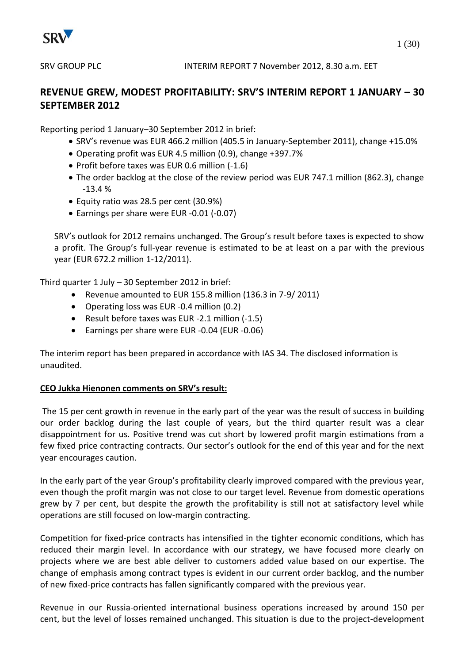

# **REVENUE GREW, MODEST PROFITABILITY: SRV'S INTERIM REPORT 1 JANUARY – 30 SEPTEMBER 2012**

Reporting period 1 January–30 September 2012 in brief:

- SRV's revenue was EUR 466.2 million (405.5 in January-September 2011), change +15.0%
- Operating profit was EUR 4.5 million (0.9), change +397.7%
- Profit before taxes was EUR 0.6 million (-1.6)
- The order backlog at the close of the review period was EUR 747.1 million (862.3), change -13.4 %
- Equity ratio was 28.5 per cent (30.9%)
- Earnings per share were EUR -0.01 (-0.07)

SRV's outlook for 2012 remains unchanged. The Group's result before taxes is expected to show a profit. The Group's full-year revenue is estimated to be at least on a par with the previous year (EUR 672.2 million 1-12/2011).

Third quarter 1 July – 30 September 2012 in brief:

- Revenue amounted to EUR 155.8 million (136.3 in 7-9/ 2011)
- Operating loss was EUR -0.4 million (0.2)
- Result before taxes was EUR -2.1 million (-1.5)
- Earnings per share were EUR -0.04 (EUR -0.06)

The interim report has been prepared in accordance with IAS 34. The disclosed information is unaudited.

# **CEO Jukka Hienonen comments on SRV's result:**

The 15 per cent growth in revenue in the early part of the year was the result of success in building our order backlog during the last couple of years, but the third quarter result was a clear disappointment for us. Positive trend was cut short by lowered profit margin estimations from a few fixed price contracting contracts. Our sector's outlook for the end of this year and for the next year encourages caution.

In the early part of the year Group's profitability clearly improved compared with the previous year, even though the profit margin was not close to our target level. Revenue from domestic operations grew by 7 per cent, but despite the growth the profitability is still not at satisfactory level while operations are still focused on low-margin contracting.

Competition for fixed-price contracts has intensified in the tighter economic conditions, which has reduced their margin level. In accordance with our strategy, we have focused more clearly on projects where we are best able deliver to customers added value based on our expertise. The change of emphasis among contract types is evident in our current order backlog, and the number of new fixed-price contracts has fallen significantly compared with the previous year.

Revenue in our Russia-oriented international business operations increased by around 150 per cent, but the level of losses remained unchanged. This situation is due to the project-development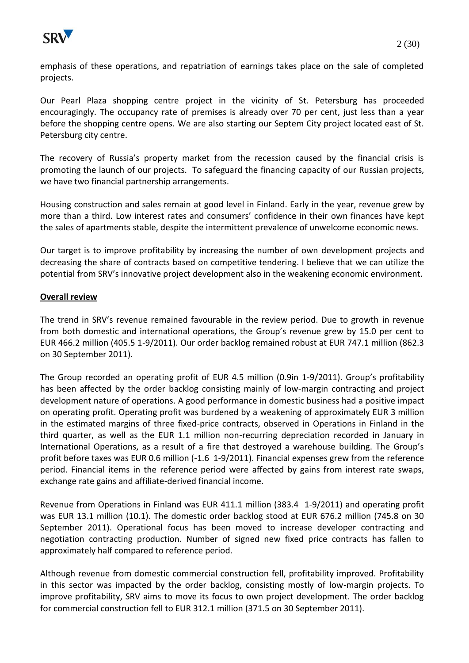

emphasis of these operations, and repatriation of earnings takes place on the sale of completed projects.

Our Pearl Plaza shopping centre project in the vicinity of St. Petersburg has proceeded encouragingly. The occupancy rate of premises is already over 70 per cent, just less than a year before the shopping centre opens. We are also starting our Septem City project located east of St. Petersburg city centre.

The recovery of Russia's property market from the recession caused by the financial crisis is promoting the launch of our projects. To safeguard the financing capacity of our Russian projects, we have two financial partnership arrangements.

Housing construction and sales remain at good level in Finland. Early in the year, revenue grew by more than a third. Low interest rates and consumers' confidence in their own finances have kept the sales of apartments stable, despite the intermittent prevalence of unwelcome economic news.

Our target is to improve profitability by increasing the number of own development projects and decreasing the share of contracts based on competitive tendering. I believe that we can utilize the potential from SRV's innovative project development also in the weakening economic environment.

# **Overall review**

The trend in SRV's revenue remained favourable in the review period. Due to growth in revenue from both domestic and international operations, the Group's revenue grew by 15.0 per cent to EUR 466.2 million (405.5 1-9/2011). Our order backlog remained robust at EUR 747.1 million (862.3 on 30 September 2011).

The Group recorded an operating profit of EUR 4.5 million (0.9in 1-9/2011). Group's profitability has been affected by the order backlog consisting mainly of low-margin contracting and project development nature of operations. A good performance in domestic business had a positive impact on operating profit. Operating profit was burdened by a weakening of approximately EUR 3 million in the estimated margins of three fixed-price contracts, observed in Operations in Finland in the third quarter, as well as the EUR 1.1 million non-recurring depreciation recorded in January in International Operations, as a result of a fire that destroyed a warehouse building. The Group's profit before taxes was EUR 0.6 million (-1.6 1-9/2011). Financial expenses grew from the reference period. Financial items in the reference period were affected by gains from interest rate swaps, exchange rate gains and affiliate-derived financial income.

Revenue from Operations in Finland was EUR 411.1 million (383.4 1-9/2011) and operating profit was EUR 13.1 million (10.1). The domestic order backlog stood at EUR 676.2 million (745.8 on 30 September 2011). Operational focus has been moved to increase developer contracting and negotiation contracting production. Number of signed new fixed price contracts has fallen to approximately half compared to reference period.

Although revenue from domestic commercial construction fell, profitability improved. Profitability in this sector was impacted by the order backlog, consisting mostly of low-margin projects. To improve profitability, SRV aims to move its focus to own project development. The order backlog for commercial construction fell to EUR 312.1 million (371.5 on 30 September 2011).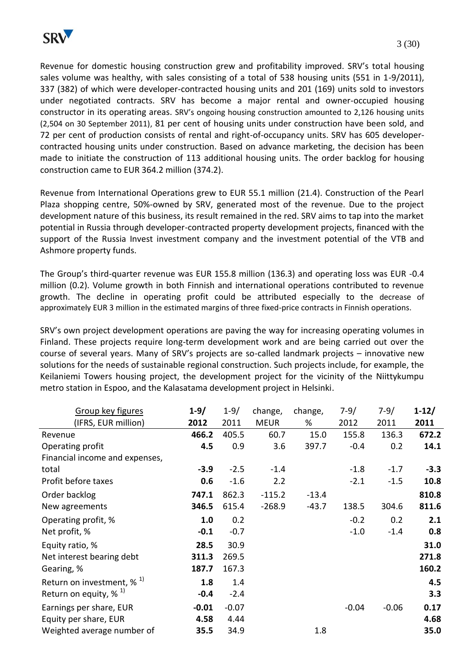

Revenue for domestic housing construction grew and profitability improved. SRV's total housing sales volume was healthy, with sales consisting of a total of 538 housing units (551 in 1-9/2011), 337 (382) of which were developer-contracted housing units and 201 (169) units sold to investors under negotiated contracts. SRV has become a major rental and owner-occupied housing constructor in its operating areas. SRV's ongoing housing construction amounted to 2,126 housing units (2,504 on 30 September 2011), 81 per cent of housing units under construction have been sold, and 72 per cent of production consists of rental and right-of-occupancy units. SRV has 605 developercontracted housing units under construction. Based on advance marketing, the decision has been made to initiate the construction of 113 additional housing units. The order backlog for housing construction came to EUR 364.2 million (374.2).

Revenue from International Operations grew to EUR 55.1 million (21.4). Construction of the Pearl Plaza shopping centre, 50%-owned by SRV, generated most of the revenue. Due to the project development nature of this business, its result remained in the red. SRV aims to tap into the market potential in Russia through developer-contracted property development projects, financed with the support of the Russia Invest investment company and the investment potential of the VTB and Ashmore property funds.

The Group's third-quarter revenue was EUR 155.8 million (136.3) and operating loss was EUR -0.4 million (0.2). Volume growth in both Finnish and international operations contributed to revenue growth. The decline in operating profit could be attributed especially to the decrease of approximately EUR 3 million in the estimated margins of three fixed-price contracts in Finnish operations.

SRV's own project development operations are paving the way for increasing operating volumes in Finland. These projects require long-term development work and are being carried out over the course of several years. Many of SRV's projects are so-called landmark projects – innovative new solutions for the needs of sustainable regional construction. Such projects include, for example, the Keilaniemi Towers housing project, the development project for the vicinity of the Niittykumpu metro station in Espoo, and the Kalasatama development project in Helsinki.

| Group key figures                        | $1 - 9/$ | $1 - 9/$ | change,     | change, | $7-9/$  | $7-9/$  | $1 - 12/$ |
|------------------------------------------|----------|----------|-------------|---------|---------|---------|-----------|
| (IFRS, EUR million)                      | 2012     | 2011     | <b>MEUR</b> | %       | 2012    | 2011    | 2011      |
| Revenue                                  | 466.2    | 405.5    | 60.7        | 15.0    | 155.8   | 136.3   | 672.2     |
| Operating profit                         | 4.5      | 0.9      | 3.6         | 397.7   | $-0.4$  | 0.2     | 14.1      |
| Financial income and expenses,           |          |          |             |         |         |         |           |
| total                                    | $-3.9$   | $-2.5$   | $-1.4$      |         | $-1.8$  | $-1.7$  | $-3.3$    |
| Profit before taxes                      | 0.6      | $-1.6$   | 2.2         |         | $-2.1$  | $-1.5$  | 10.8      |
| Order backlog                            | 747.1    | 862.3    | $-115.2$    | $-13.4$ |         |         | 810.8     |
| New agreements                           | 346.5    | 615.4    | $-268.9$    | $-43.7$ | 138.5   | 304.6   | 811.6     |
| Operating profit, %                      | 1.0      | 0.2      |             |         | $-0.2$  | 0.2     | 2.1       |
| Net profit, %                            | $-0.1$   | $-0.7$   |             |         | $-1.0$  | $-1.4$  | 0.8       |
| Equity ratio, %                          | 28.5     | 30.9     |             |         |         |         | 31.0      |
| Net interest bearing debt                | 311.3    | 269.5    |             |         |         |         | 271.8     |
| Gearing, %                               | 187.7    | 167.3    |             |         |         |         | 160.2     |
| Return on investment, $\%$ <sup>1)</sup> | 1.8      | 1.4      |             |         |         |         | 4.5       |
| Return on equity, $\%$ <sup>1)</sup>     | $-0.4$   | $-2.4$   |             |         |         |         | 3.3       |
| Earnings per share, EUR                  | $-0.01$  | $-0.07$  |             |         | $-0.04$ | $-0.06$ | 0.17      |
| Equity per share, EUR                    | 4.58     | 4.44     |             |         |         |         | 4.68      |
| Weighted average number of               | 35.5     | 34.9     |             | 1.8     |         |         | 35.0      |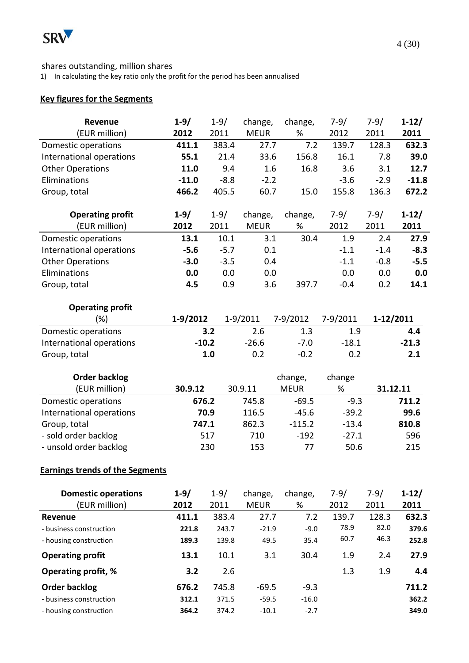

# shares outstanding, million shares

1) In calculating the key ratio only the profit for the period has been annualised

# **Key figures for the Segments**

| Revenue                                | $1 - 9/$ | $1 - 9/$ | change,     | change,     | $7 - 9/$ | $7 - 9/$  | $1 - 12/$ |
|----------------------------------------|----------|----------|-------------|-------------|----------|-----------|-----------|
| (EUR million)                          | 2012     | 2011     | <b>MEUR</b> | %           | 2012     | 2011      | 2011      |
| Domestic operations                    | 411.1    | 383.4    | 27.7        | 7.2         | 139.7    | 128.3     | 632.3     |
| International operations               | 55.1     | 21.4     | 33.6        | 156.8       | 16.1     | 7.8       | 39.0      |
| <b>Other Operations</b>                | 11.0     | 9.4      | 1.6         | 16.8        | 3.6      | 3.1       | 12.7      |
| Eliminations                           | $-11.0$  | $-8.8$   | $-2.2$      |             | $-3.6$   | $-2.9$    | $-11.8$   |
| Group, total                           | 466.2    | 405.5    | 60.7        | 15.0        | 155.8    | 136.3     | 672.2     |
|                                        |          |          |             |             |          |           |           |
| <b>Operating profit</b>                | $1 - 9/$ | $1 - 9/$ | change,     | change,     | $7-9/$   | $7-9/$    | $1-12/$   |
| (EUR million)                          | 2012     | 2011     | <b>MEUR</b> | $\%$        | 2012     | 2011      | 2011      |
| Domestic operations                    | 13.1     | 10.1     | 3.1         | 30.4        | 1.9      | 2.4       | 27.9      |
| International operations               | $-5.6$   | $-5.7$   | 0.1         |             | $-1.1$   | $-1.4$    | $-8.3$    |
| <b>Other Operations</b>                | $-3.0$   | $-3.5$   | 0.4         |             | $-1.1$   | $-0.8$    | $-5.5$    |
| Eliminations                           | 0.0      | 0.0      | 0.0         |             | 0.0      | 0.0       | 0.0       |
| Group, total                           | 4.5      | 0.9      | 3.6         | 397.7       | $-0.4$   | 0.2       | 14.1      |
|                                        |          |          |             |             |          |           |           |
| <b>Operating profit</b>                |          |          |             |             |          |           |           |
| (%)                                    | 1-9/2012 |          | $1-9/2011$  | 7-9/2012    | 7-9/2011 | 1-12/2011 |           |
| Domestic operations                    |          | 3.2      | 2.6         | 1.3         | 1.9      |           | 4.4       |
| International operations               |          | $-10.2$  | $-26.6$     | $-7.0$      | $-18.1$  |           | $-21.3$   |
| Group, total                           |          | 1.0      | 0.2         | $-0.2$      | 0.2      |           | 2.1       |
|                                        |          |          |             |             |          |           |           |
|                                        |          |          |             |             |          |           |           |
| <b>Order backlog</b>                   |          |          |             | change,     | change   |           |           |
| (EUR million)                          | 30.9.12  |          | 30.9.11     | <b>MEUR</b> | %        | 31.12.11  |           |
| Domestic operations                    | 676.2    |          | 745.8       | $-69.5$     | $-9.3$   |           | 711.2     |
| International operations               |          | 70.9     | 116.5       | $-45.6$     | $-39.2$  |           | 99.6      |
| Group, total                           | 747.1    |          | 862.3       | $-115.2$    | $-13.4$  |           | 810.8     |
| - sold order backlog                   |          | 517      | 710         | $-192$      | $-27.1$  |           | 596       |
| - unsold order backlog                 |          | 230      | 153         | 77          | 50.6     |           | 215       |
|                                        |          |          |             |             |          |           |           |
| <b>Earnings trends of the Segments</b> |          |          |             |             |          |           |           |
|                                        |          |          |             |             |          |           |           |
| <b>Domestic operations</b>             | $1 - 9/$ | $1 - 9/$ | change,     | change,     | $7-9/$   | $7-9/$    | $1-12/$   |
| (EUR million)                          | 2012     | 2011     | <b>MEUR</b> | %           | 2012     | 2011      | 2011      |
| <b>Revenue</b>                         | 411.1    | 383.4    | 27.7        | 7.2         | 139.7    | 128.3     | 632.3     |
| - business construction                | 221.8    | 243.7    | $-21.9$     | $-9.0$      | 78.9     | 82.0      | 379.6     |
| - housing construction                 | 189.3    | 139.8    | 49.5        | 35.4        | 60.7     | 46.3      | 252.8     |
| <b>Operating profit</b>                | 13.1     | 10.1     | 3.1         | 30.4        | 1.9      | 2.4       | 27.9      |
| <b>Operating profit, %</b>             | 3.2      | 2.6      |             |             | 1.3      | 1.9       | 4.4       |
| <b>Order backlog</b>                   | 676.2    | 745.8    | $-69.5$     | $-9.3$      |          |           | 711.2     |
| - business construction                | 312.1    | 371.5    | $-59.5$     | $-16.0$     |          |           | 362.2     |
| - housing construction                 | 364.2    | 374.2    | $-10.1$     | $-2.7$      |          |           | 349.0     |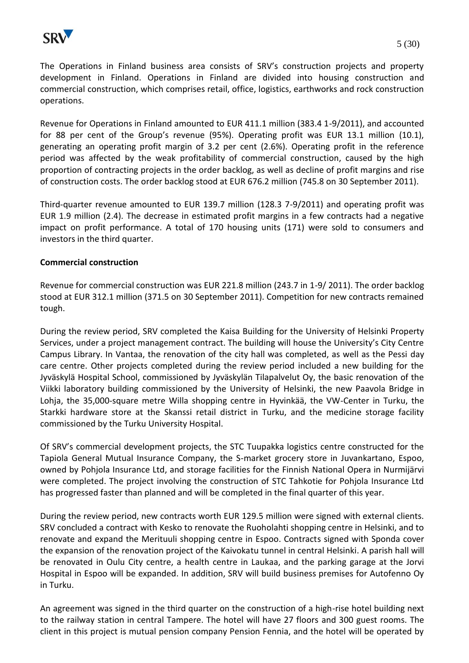

The Operations in Finland business area consists of SRV's construction projects and property development in Finland. Operations in Finland are divided into housing construction and commercial construction, which comprises retail, office, logistics, earthworks and rock construction operations.

Revenue for Operations in Finland amounted to EUR 411.1 million (383.4 1-9/2011), and accounted for 88 per cent of the Group's revenue (95%). Operating profit was EUR 13.1 million (10.1), generating an operating profit margin of 3.2 per cent (2.6%). Operating profit in the reference period was affected by the weak profitability of commercial construction, caused by the high proportion of contracting projects in the order backlog, as well as decline of profit margins and rise of construction costs. The order backlog stood at EUR 676.2 million (745.8 on 30 September 2011).

Third-quarter revenue amounted to EUR 139.7 million (128.3 7-9/2011) and operating profit was EUR 1.9 million (2.4). The decrease in estimated profit margins in a few contracts had a negative impact on profit performance. A total of 170 housing units (171) were sold to consumers and investors in the third quarter.

# **Commercial construction**

Revenue for commercial construction was EUR 221.8 million (243.7 in 1-9/ 2011). The order backlog stood at EUR 312.1 million (371.5 on 30 September 2011). Competition for new contracts remained tough.

During the review period, SRV completed the Kaisa Building for the University of Helsinki Property Services, under a project management contract. The building will house the University's City Centre Campus Library. In Vantaa, the renovation of the city hall was completed, as well as the Pessi day care centre. Other projects completed during the review period included a new building for the Jyväskylä Hospital School, commissioned by Jyväskylän Tilapalvelut Oy, the basic renovation of the Viikki laboratory building commissioned by the University of Helsinki, the new Paavola Bridge in Lohja, the 35,000-square metre Willa shopping centre in Hyvinkää, the VW-Center in Turku, the Starkki hardware store at the Skanssi retail district in Turku, and the medicine storage facility commissioned by the Turku University Hospital.

Of SRV's commercial development projects, the STC Tuupakka logistics centre constructed for the Tapiola General Mutual Insurance Company, the S-market grocery store in Juvankartano, Espoo, owned by Pohjola Insurance Ltd, and storage facilities for the Finnish National Opera in Nurmijärvi were completed. The project involving the construction of STC Tahkotie for Pohjola Insurance Ltd has progressed faster than planned and will be completed in the final quarter of this year.

During the review period, new contracts worth EUR 129.5 million were signed with external clients. SRV concluded a contract with Kesko to renovate the Ruoholahti shopping centre in Helsinki, and to renovate and expand the Merituuli shopping centre in Espoo. Contracts signed with Sponda cover the expansion of the renovation project of the Kaivokatu tunnel in central Helsinki. A parish hall will be renovated in Oulu City centre, a health centre in Laukaa, and the parking garage at the Jorvi Hospital in Espoo will be expanded. In addition, SRV will build business premises for Autofenno Oy in Turku.

An agreement was signed in the third quarter on the construction of a high-rise hotel building next to the railway station in central Tampere. The hotel will have 27 floors and 300 guest rooms. The client in this project is mutual pension company Pension Fennia, and the hotel will be operated by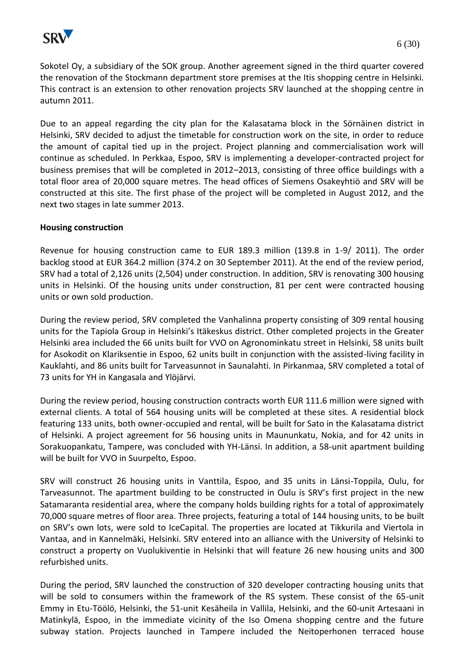

Sokotel Oy, a subsidiary of the SOK group. Another agreement signed in the third quarter covered the renovation of the Stockmann department store premises at the Itis shopping centre in Helsinki. This contract is an extension to other renovation projects SRV launched at the shopping centre in autumn 2011.

Due to an appeal regarding the city plan for the Kalasatama block in the Sörnäinen district in Helsinki, SRV decided to adjust the timetable for construction work on the site, in order to reduce the amount of capital tied up in the project. Project planning and commercialisation work will continue as scheduled. In Perkkaa, Espoo, SRV is implementing a developer-contracted project for business premises that will be completed in 2012–2013, consisting of three office buildings with a total floor area of 20,000 square metres. The head offices of Siemens Osakeyhtiö and SRV will be constructed at this site. The first phase of the project will be completed in August 2012, and the next two stages in late summer 2013.

# **Housing construction**

Revenue for housing construction came to EUR 189.3 million (139.8 in 1-9/ 2011). The order backlog stood at EUR 364.2 million (374.2 on 30 September 2011). At the end of the review period, SRV had a total of 2,126 units (2,504) under construction. In addition, SRV is renovating 300 housing units in Helsinki. Of the housing units under construction, 81 per cent were contracted housing units or own sold production.

During the review period, SRV completed the Vanhalinna property consisting of 309 rental housing units for the Tapiola Group in Helsinki's Itäkeskus district. Other completed projects in the Greater Helsinki area included the 66 units built for VVO on Agronominkatu street in Helsinki, 58 units built for Asokodit on Klariksentie in Espoo, 62 units built in conjunction with the assisted-living facility in Kauklahti, and 86 units built for Tarveasunnot in Saunalahti. In Pirkanmaa, SRV completed a total of 73 units for YH in Kangasala and Ylöjärvi.

During the review period, housing construction contracts worth EUR 111.6 million were signed with external clients. A total of 564 housing units will be completed at these sites. A residential block featuring 133 units, both owner-occupied and rental, will be built for Sato in the Kalasatama district of Helsinki. A project agreement for 56 housing units in Maununkatu, Nokia, and for 42 units in Sorakuopankatu, Tampere, was concluded with YH-Länsi. In addition, a 58-unit apartment building will be built for VVO in Suurpelto, Espoo.

SRV will construct 26 housing units in Vanttila, Espoo, and 35 units in Länsi-Toppila, Oulu, for Tarveasunnot. The apartment building to be constructed in Oulu is SRV's first project in the new Satamaranta residential area, where the company holds building rights for a total of approximately 70,000 square metres of floor area. Three projects, featuring a total of 144 housing units, to be built on SRV's own lots, were sold to IceCapital. The properties are located at Tikkurila and Viertola in Vantaa, and in Kannelmäki, Helsinki. SRV entered into an alliance with the University of Helsinki to construct a property on Vuolukiventie in Helsinki that will feature 26 new housing units and 300 refurbished units.

During the period, SRV launched the construction of 320 developer contracting housing units that will be sold to consumers within the framework of the RS system. These consist of the 65-unit Emmy in Etu-Töölö, Helsinki, the 51-unit Kesäheila in Vallila, Helsinki, and the 60-unit Artesaani in Matinkylä, Espoo, in the immediate vicinity of the Iso Omena shopping centre and the future subway station. Projects launched in Tampere included the Neitoperhonen terraced house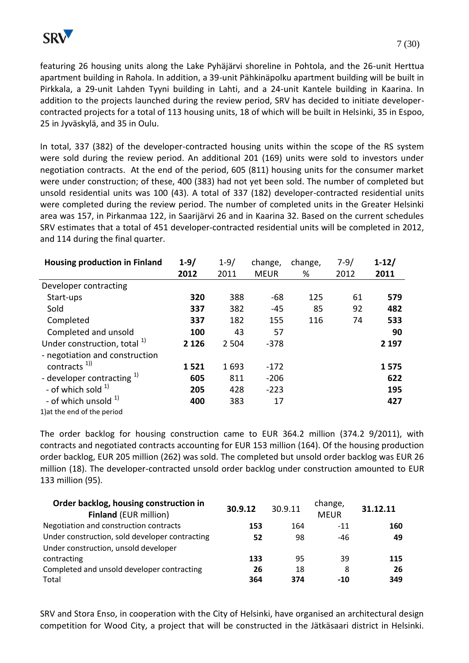featuring 26 housing units along the Lake Pyhäjärvi shoreline in Pohtola, and the 26-unit Herttua apartment building in Rahola. In addition, a 39-unit Pähkinäpolku apartment building will be built in Pirkkala, a 29-unit Lahden Tyyni building in Lahti, and a 24-unit Kantele building in Kaarina. In addition to the projects launched during the review period, SRV has decided to initiate developercontracted projects for a total of 113 housing units, 18 of which will be built in Helsinki, 35 in Espoo, 25 in Jyväskylä, and 35 in Oulu.

In total, 337 (382) of the developer-contracted housing units within the scope of the RS system were sold during the review period. An additional 201 (169) units were sold to investors under negotiation contracts. At the end of the period, 605 (811) housing units for the consumer market were under construction; of these, 400 (383) had not yet been sold. The number of completed but unsold residential units was 100 (43). A total of 337 (182) developer-contracted residential units were completed during the review period. The number of completed units in the Greater Helsinki area was 157, in Pirkanmaa 122, in Saarijärvi 26 and in Kaarina 32. Based on the current schedules SRV estimates that a total of 451 developer-contracted residential units will be completed in 2012, and 114 during the final quarter.

| <b>Housing production in Finland</b>    | $1 - 9/$ | $1 - 9/$ | change,     | change, | $7 - 9/$ | $1 - 12/$ |
|-----------------------------------------|----------|----------|-------------|---------|----------|-----------|
|                                         | 2012     | 2011     | <b>MEUR</b> | %       | 2012     | 2011      |
| Developer contracting                   |          |          |             |         |          |           |
| Start-ups                               | 320      | 388      | $-68$       | 125     | 61       | 579       |
| Sold                                    | 337      | 382      | $-45$       | 85      | 92       | 482       |
| Completed                               | 337      | 182      | 155         | 116     | 74       | 533       |
| Completed and unsold                    | 100      | 43       | 57          |         |          | 90        |
| Under construction, total <sup>1)</sup> | 2 1 2 6  | 2 5 0 4  | $-378$      |         |          | 2 1 9 7   |
| - negotiation and construction          |          |          |             |         |          |           |
| contracts $^{1)}$                       | 1521     | 1693     | $-172$      |         |          | 1575      |
| - developer contracting $1$ )           | 605      | 811      | $-206$      |         |          | 622       |
| - of which sold $1$                     | 205      | 428      | $-223$      |         |          | 195       |
| - of which unsold <sup>1)</sup>         | 400      | 383      | 17          |         |          | 427       |
| 1) at the end of the period             |          |          |             |         |          |           |

The order backlog for housing construction came to EUR 364.2 million (374.2 9/2011), with contracts and negotiated contracts accounting for EUR 153 million (164). Of the housing production order backlog, EUR 205 million (262) was sold. The completed but unsold order backlog was EUR 26 million (18). The developer-contracted unsold order backlog under construction amounted to EUR 133 million (95).

| Order backlog, housing construction in<br><b>Finland (EUR million)</b> | 30.9.12 | 30.9.11 | change,<br><b>MEUR</b> | 31.12.11 |
|------------------------------------------------------------------------|---------|---------|------------------------|----------|
| Negotiation and construction contracts                                 | 153     | 164     | $-11$                  | 160      |
| Under construction, sold developer contracting                         | 52      | 98      | -46                    | 49       |
| Under construction, unsold developer                                   |         |         |                        |          |
| contracting                                                            | 133     | 95      | 39                     | 115      |
| Completed and unsold developer contracting                             | 26      | 18      | 8                      | 26       |
| Total                                                                  | 364     | 374     | -10                    | 349      |

SRV and Stora Enso, in cooperation with the City of Helsinki, have organised an architectural design competition for Wood City, a project that will be constructed in the Jätkäsaari district in Helsinki.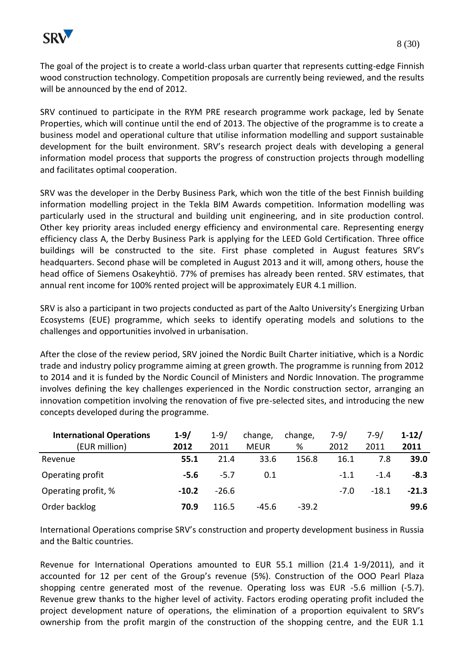

The goal of the project is to create a world-class urban quarter that represents cutting-edge Finnish wood construction technology. Competition proposals are currently being reviewed, and the results will be announced by the end of 2012.

SRV continued to participate in the RYM PRE research programme work package, led by Senate Properties, which will continue until the end of 2013. The objective of the programme is to create a business model and operational culture that utilise information modelling and support sustainable development for the built environment. SRV's research project deals with developing a general information model process that supports the progress of construction projects through modelling and facilitates optimal cooperation.

SRV was the developer in the Derby Business Park, which won the title of the best Finnish building information modelling project in the Tekla BIM Awards competition. Information modelling was particularly used in the structural and building unit engineering, and in site production control. Other key priority areas included energy efficiency and environmental care. Representing energy efficiency class A, the Derby Business Park is applying for the LEED Gold Certification. Three office buildings will be constructed to the site. First phase completed in August features SRV's headquarters. Second phase will be completed in August 2013 and it will, among others, house the head office of Siemens Osakeyhtiö. 77% of premises has already been rented. SRV estimates, that annual rent income for 100% rented project will be approximately EUR 4.1 million.

SRV is also a participant in two projects conducted as part of the Aalto University's Energizing Urban Ecosystems (EUE) programme, which seeks to identify operating models and solutions to the challenges and opportunities involved in urbanisation.

After the close of the review period, SRV joined the Nordic Built Charter initiative, which is a Nordic trade and industry policy programme aiming at green growth. The programme is running from 2012 to 2014 and it is funded by the Nordic Council of Ministers and Nordic Innovation. The programme involves defining the key challenges experienced in the Nordic construction sector, arranging an innovation competition involving the renovation of five pre-selected sites, and introducing the new concepts developed during the programme.

| <b>International Operations</b> | $1 - 9/$ | $1 - 9/$ | change,     | change, | $7-9/$ | $7-9/$  | $1-12/$ |
|---------------------------------|----------|----------|-------------|---------|--------|---------|---------|
| (EUR million)                   | 2012     | 2011     | <b>MEUR</b> | %       | 2012   | 2011    | 2011    |
| Revenue                         | 55.1     | 21.4     | 33.6        | 156.8   | 16.1   | 7.8     | 39.0    |
| Operating profit                | $-5.6$   | $-5.7$   | 0.1         |         | $-1.1$ | $-1.4$  | $-8.3$  |
| Operating profit, %             | $-10.2$  | $-26.6$  |             |         | $-7.0$ | $-18.1$ | $-21.3$ |
| Order backlog                   | 70.9     | 116.5    | -45.6       | $-39.2$ |        |         | 99.6    |

International Operations comprise SRV's construction and property development business in Russia and the Baltic countries.

Revenue for International Operations amounted to EUR 55.1 million (21.4 1-9/2011), and it accounted for 12 per cent of the Group's revenue (5%). Construction of the OOO Pearl Plaza shopping centre generated most of the revenue. Operating loss was EUR -5.6 million (-5.7). Revenue grew thanks to the higher level of activity. Factors eroding operating profit included the project development nature of operations, the elimination of a proportion equivalent to SRV's ownership from the profit margin of the construction of the shopping centre, and the EUR 1.1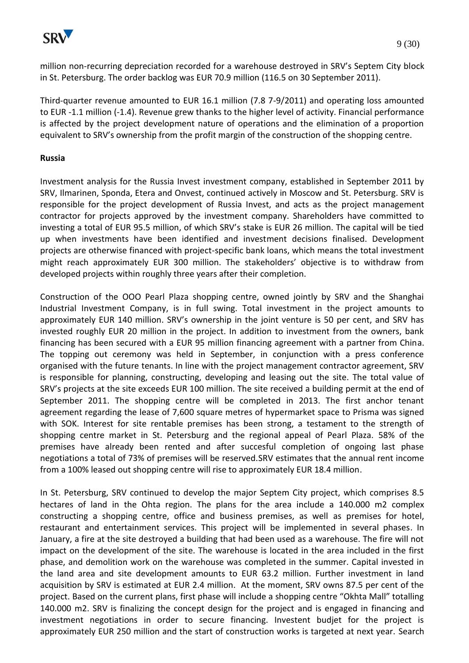

million non-recurring depreciation recorded for a warehouse destroyed in SRV's Septem City block in St. Petersburg. The order backlog was EUR 70.9 million (116.5 on 30 September 2011).

Third-quarter revenue amounted to EUR 16.1 million (7.8 7-9/2011) and operating loss amounted to EUR -1.1 million (-1.4). Revenue grew thanks to the higher level of activity. Financial performance is affected by the project development nature of operations and the elimination of a proportion equivalent to SRV's ownership from the profit margin of the construction of the shopping centre.

#### **Russia**

Investment analysis for the Russia Invest investment company, established in September 2011 by SRV, Ilmarinen, Sponda, Etera and Onvest, continued actively in Moscow and St. Petersburg. SRV is responsible for the project development of Russia Invest, and acts as the project management contractor for projects approved by the investment company. Shareholders have committed to investing a total of EUR 95.5 million, of which SRV's stake is EUR 26 million. The capital will be tied up when investments have been identified and investment decisions finalised. Development projects are otherwise financed with project-specific bank loans, which means the total investment might reach approximately EUR 300 million. The stakeholders' objective is to withdraw from developed projects within roughly three years after their completion.

Construction of the OOO Pearl Plaza shopping centre, owned jointly by SRV and the Shanghai Industrial Investment Company, is in full swing. Total investment in the project amounts to approximately EUR 140 million. SRV's ownership in the joint venture is 50 per cent, and SRV has invested roughly EUR 20 million in the project. In addition to investment from the owners, bank financing has been secured with a EUR 95 million financing agreement with a partner from China. The topping out ceremony was held in September, in conjunction with a press conference organised with the future tenants. In line with the project management contractor agreement, SRV is responsible for planning, constructing, developing and leasing out the site. The total value of SRV's projects at the site exceeds EUR 100 million. The site received a building permit at the end of September 2011. The shopping centre will be completed in 2013. The first anchor tenant agreement regarding the lease of 7,600 square metres of hypermarket space to Prisma was signed with SOK. Interest for site rentable premises has been strong, a testament to the strength of shopping centre market in St. Petersburg and the regional appeal of Pearl Plaza. 58% of the premises have already been rented and after succesful completion of ongoing last phase negotiations a total of 73% of premises will be reserved.SRV estimates that the annual rent income from a 100% leased out shopping centre will rise to approximately EUR 18.4 million.

In St. Petersburg, SRV continued to develop the major Septem City project, which comprises 8.5 hectares of land in the Ohta region. The plans for the area include a 140.000 m2 complex constructing a shopping centre, office and business premises, as well as premises for hotel, restaurant and entertainment services. This project will be implemented in several phases. In January, a fire at the site destroyed a building that had been used as a warehouse. The fire will not impact on the development of the site. The warehouse is located in the area included in the first phase, and demolition work on the warehouse was completed in the summer. Capital invested in the land area and site development amounts to EUR 63.2 million. Further investment in land acquisition by SRV is estimated at EUR 2.4 million. At the moment, SRV owns 87.5 per cent of the project. Based on the current plans, first phase will include a shopping centre "Okhta Mall" totalling 140.000 m2. SRV is finalizing the concept design for the project and is engaged in financing and investment negotiations in order to secure financing. Investent budjet for the project is approximately EUR 250 million and the start of construction works is targeted at next year. Search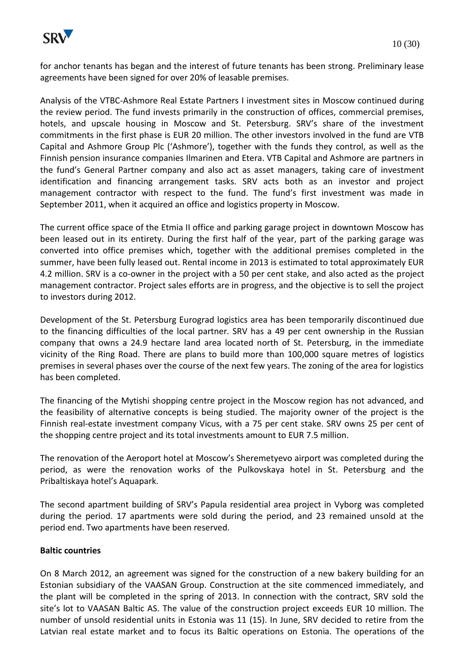

for anchor tenants has began and the interest of future tenants has been strong. Preliminary lease agreements have been signed for over 20% of leasable premises.

Analysis of the VTBC-Ashmore Real Estate Partners I investment sites in Moscow continued during the review period. The fund invests primarily in the construction of offices, commercial premises, hotels, and upscale housing in Moscow and St. Petersburg. SRV's share of the investment commitments in the first phase is EUR 20 million. The other investors involved in the fund are VTB Capital and Ashmore Group Plc ('Ashmore'), together with the funds they control, as well as the Finnish pension insurance companies Ilmarinen and Etera. VTB Capital and Ashmore are partners in the fund's General Partner company and also act as asset managers, taking care of investment identification and financing arrangement tasks. SRV acts both as an investor and project management contractor with respect to the fund. The fund's first investment was made in September 2011, when it acquired an office and logistics property in Moscow.

The current office space of the Etmia II office and parking garage project in downtown Moscow has been leased out in its entirety. During the first half of the year, part of the parking garage was converted into office premises which, together with the additional premises completed in the summer, have been fully leased out. Rental income in 2013 is estimated to total approximately EUR 4.2 million. SRV is a co-owner in the project with a 50 per cent stake, and also acted as the project management contractor. Project sales efforts are in progress, and the objective is to sell the project to investors during 2012.

Development of the St. Petersburg Eurograd logistics area has been temporarily discontinued due to the financing difficulties of the local partner. SRV has a 49 per cent ownership in the Russian company that owns a 24.9 hectare land area located north of St. Petersburg, in the immediate vicinity of the Ring Road. There are plans to build more than 100,000 square metres of logistics premises in several phases over the course of the next few years. The zoning of the area for logistics has been completed.

The financing of the Mytishi shopping centre project in the Moscow region has not advanced, and the feasibility of alternative concepts is being studied. The majority owner of the project is the Finnish real-estate investment company Vicus, with a 75 per cent stake. SRV owns 25 per cent of the shopping centre project and its total investments amount to EUR 7.5 million.

The renovation of the Aeroport hotel at Moscow's Sheremetyevo airport was completed during the period, as were the renovation works of the Pulkovskaya hotel in St. Petersburg and the Pribaltiskaya hotel's Aquapark.

The second apartment building of SRV's Papula residential area project in Vyborg was completed during the period. 17 apartments were sold during the period, and 23 remained unsold at the period end. Two apartments have been reserved.

# **Baltic countries**

On 8 March 2012, an agreement was signed for the construction of a new bakery building for an Estonian subsidiary of the VAASAN Group. Construction at the site commenced immediately, and the plant will be completed in the spring of 2013. In connection with the contract, SRV sold the site's lot to VAASAN Baltic AS. The value of the construction project exceeds EUR 10 million. The number of unsold residential units in Estonia was 11 (15). In June, SRV decided to retire from the Latvian real estate market and to focus its Baltic operations on Estonia. The operations of the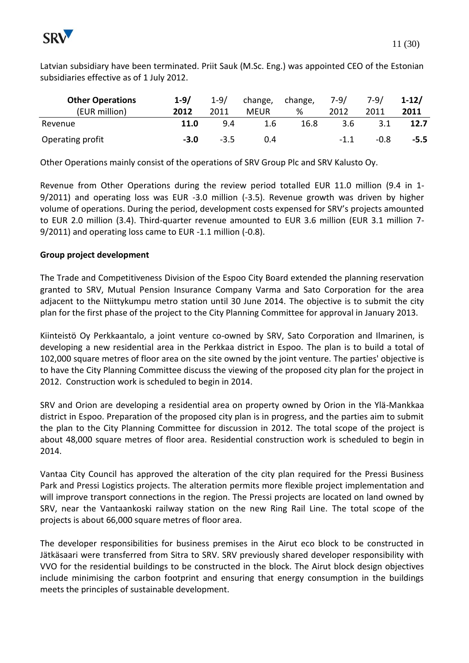

Latvian subsidiary have been terminated. Priit Sauk (M.Sc. Eng.) was appointed CEO of the Estonian subsidiaries effective as of 1 July 2012.

| <b>Other Operations</b><br>(EUR million) | $1 - 9/$<br>2012 | $1-9/$<br>2011 | change,<br><b>MEUR</b> | change,<br>% | 7-9/<br>2012 | 7-9/<br>2011 | $1 - 12/$<br>2011 |
|------------------------------------------|------------------|----------------|------------------------|--------------|--------------|--------------|-------------------|
| Revenue                                  | 11.0             | 9.4            | 1.6                    | 16.8         | 3.6          | 3.1          | 12.7              |
| Operating profit                         | $-3.0$           | $-3.5$         | 0.4                    |              | $-1.1$       | $-0.8$       | $-5.5$            |

Other Operations mainly consist of the operations of SRV Group Plc and SRV Kalusto Oy.

Revenue from Other Operations during the review period totalled EUR 11.0 million (9.4 in 1- 9/2011) and operating loss was EUR -3.0 million (-3.5). Revenue growth was driven by higher volume of operations. During the period, development costs expensed for SRV's projects amounted to EUR 2.0 million (3.4). Third-quarter revenue amounted to EUR 3.6 million (EUR 3.1 million 7- 9/2011) and operating loss came to EUR -1.1 million (-0.8).

# **Group project development**

The Trade and Competitiveness Division of the Espoo City Board extended the planning reservation granted to SRV, Mutual Pension Insurance Company Varma and Sato Corporation for the area adjacent to the Niittykumpu metro station until 30 June 2014. The objective is to submit the city plan for the first phase of the project to the City Planning Committee for approval in January 2013.

Kiinteistö Oy Perkkaantalo, a joint venture co-owned by SRV, Sato Corporation and Ilmarinen, is developing a new residential area in the Perkkaa district in Espoo. The plan is to build a total of 102,000 square metres of floor area on the site owned by the joint venture. The parties' objective is to have the City Planning Committee discuss the viewing of the proposed city plan for the project in 2012. Construction work is scheduled to begin in 2014.

SRV and Orion are developing a residential area on property owned by Orion in the Ylä-Mankkaa district in Espoo. Preparation of the proposed city plan is in progress, and the parties aim to submit the plan to the City Planning Committee for discussion in 2012. The total scope of the project is about 48,000 square metres of floor area. Residential construction work is scheduled to begin in 2014.

Vantaa City Council has approved the alteration of the city plan required for the Pressi Business Park and Pressi Logistics projects. The alteration permits more flexible project implementation and will improve transport connections in the region. The Pressi projects are located on land owned by SRV, near the Vantaankoski railway station on the new Ring Rail Line. The total scope of the projects is about 66,000 square metres of floor area.

The developer responsibilities for business premises in the Airut eco block to be constructed in Jätkäsaari were transferred from Sitra to SRV. SRV previously shared developer responsibility with VVO for the residential buildings to be constructed in the block. The Airut block design objectives include minimising the carbon footprint and ensuring that energy consumption in the buildings meets the principles of sustainable development.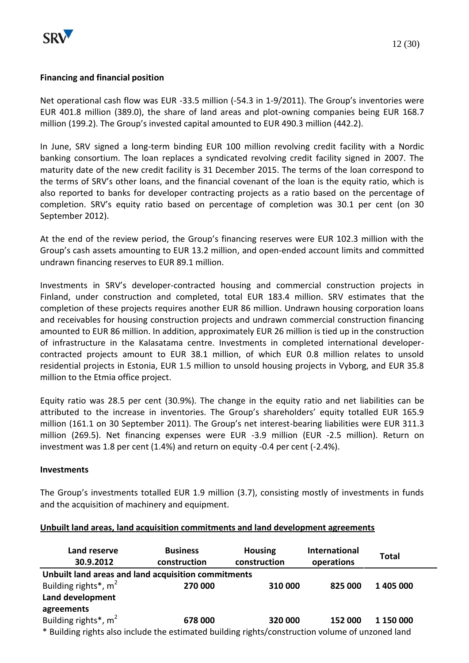

#### **Financing and financial position**

Net operational cash flow was EUR -33.5 million (-54.3 in 1-9/2011). The Group's inventories were EUR 401.8 million (389.0), the share of land areas and plot-owning companies being EUR 168.7 million (199.2). The Group's invested capital amounted to EUR 490.3 million (442.2).

In June, SRV signed a long-term binding EUR 100 million revolving credit facility with a Nordic banking consortium. The loan replaces a syndicated revolving credit facility signed in 2007. The maturity date of the new credit facility is 31 December 2015. The terms of the loan correspond to the terms of SRV's other loans, and the financial covenant of the loan is the equity ratio, which is also reported to banks for developer contracting projects as a ratio based on the percentage of completion. SRV's equity ratio based on percentage of completion was 30.1 per cent (on 30 September 2012).

At the end of the review period, the Group's financing reserves were EUR 102.3 million with the Group's cash assets amounting to EUR 13.2 million, and open-ended account limits and committed undrawn financing reserves to EUR 89.1 million.

Investments in SRV's developer-contracted housing and commercial construction projects in Finland, under construction and completed, total EUR 183.4 million. SRV estimates that the completion of these projects requires another EUR 86 million. Undrawn housing corporation loans and receivables for housing construction projects and undrawn commercial construction financing amounted to EUR 86 million. In addition, approximately EUR 26 million is tied up in the construction of infrastructure in the Kalasatama centre. Investments in completed international developercontracted projects amount to EUR 38.1 million, of which EUR 0.8 million relates to unsold residential projects in Estonia, EUR 1.5 million to unsold housing projects in Vyborg, and EUR 35.8 million to the Etmia office project.

Equity ratio was 28.5 per cent (30.9%). The change in the equity ratio and net liabilities can be attributed to the increase in inventories. The Group's shareholders' equity totalled EUR 165.9 million (161.1 on 30 September 2011). The Group's net interest-bearing liabilities were EUR 311.3 million (269.5). Net financing expenses were EUR -3.9 million (EUR -2.5 million). Return on investment was 1.8 per cent (1.4%) and return on equity -0.4 per cent (-2.4%).

#### **Investments**

The Group's investments totalled EUR 1.9 million (3.7), consisting mostly of investments in funds and the acquisition of machinery and equipment.

#### **Unbuilt land areas, land acquisition commitments and land development agreements**

| Land reserve<br>30.9.2012                                                                        | <b>Business</b><br>construction | <b>Housing</b><br>construction | International<br>operations | <b>Total</b> |
|--------------------------------------------------------------------------------------------------|---------------------------------|--------------------------------|-----------------------------|--------------|
| Unbuilt land areas and land acquisition commitments                                              |                                 |                                |                             |              |
| Building rights <sup>*</sup> , $m2$                                                              | 270 000                         | 310 000                        | 825 000                     | 1 405 000    |
| Land development                                                                                 |                                 |                                |                             |              |
| agreements                                                                                       |                                 |                                |                             |              |
| Building rights*, m <sup>2</sup>                                                                 | 678 000                         | 320 000                        | 152 000                     | 1 150 000    |
| * Building rights also include the estimated building rights/construction volume of unzoned land |                                 |                                |                             |              |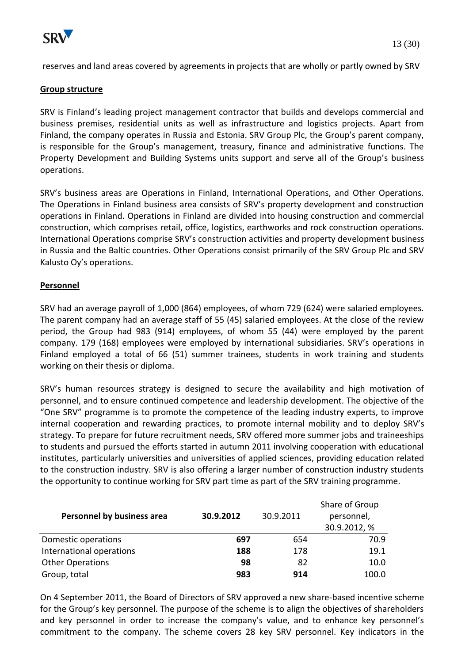

reserves and land areas covered by agreements in projects that are wholly or partly owned by SRV

#### **Group structure**

SRV is Finland's leading project management contractor that builds and develops commercial and business premises, residential units as well as infrastructure and logistics projects. Apart from Finland, the company operates in Russia and Estonia. SRV Group Plc, the Group's parent company, is responsible for the Group's management, treasury, finance and administrative functions. The Property Development and Building Systems units support and serve all of the Group's business operations.

SRV's business areas are Operations in Finland, International Operations, and Other Operations. The Operations in Finland business area consists of SRV's property development and construction operations in Finland. Operations in Finland are divided into housing construction and commercial construction, which comprises retail, office, logistics, earthworks and rock construction operations. International Operations comprise SRV's construction activities and property development business in Russia and the Baltic countries. Other Operations consist primarily of the SRV Group Plc and SRV Kalusto Oy's operations.

# **Personnel**

SRV had an average payroll of 1,000 (864) employees, of whom 729 (624) were salaried employees. The parent company had an average staff of 55 (45) salaried employees. At the close of the review period, the Group had 983 (914) employees, of whom 55 (44) were employed by the parent company. 179 (168) employees were employed by international subsidiaries. SRV's operations in Finland employed a total of 66 (51) summer trainees, students in work training and students working on their thesis or diploma.

SRV's human resources strategy is designed to secure the availability and high motivation of personnel, and to ensure continued competence and leadership development. The objective of the "One SRV" programme is to promote the competence of the leading industry experts, to improve internal cooperation and rewarding practices, to promote internal mobility and to deploy SRV's strategy. To prepare for future recruitment needs, SRV offered more summer jobs and traineeships to students and pursued the efforts started in autumn 2011 involving cooperation with educational institutes, particularly universities and universities of applied sciences, providing education related to the construction industry. SRV is also offering a larger number of construction industry students the opportunity to continue working for SRV part time as part of the SRV training programme.

| Personnel by business area | 30.9.2012 | 30.9.2011 | Share of Group<br>personnel,<br>30.9.2012, % |
|----------------------------|-----------|-----------|----------------------------------------------|
| Domestic operations        | 697       | 654       | 70.9                                         |
| International operations   | 188       | 178       | 19.1                                         |
| <b>Other Operations</b>    | 98        | 82        | 10.0                                         |
| Group, total               | 983       | 914       | 100.0                                        |

On 4 September 2011, the Board of Directors of SRV approved a new share-based incentive scheme for the Group's key personnel. The purpose of the scheme is to align the objectives of shareholders and key personnel in order to increase the company's value, and to enhance key personnel's commitment to the company. The scheme covers 28 key SRV personnel. Key indicators in the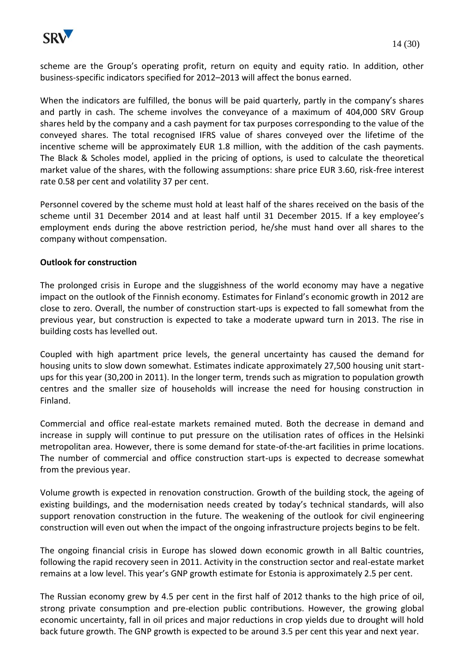

scheme are the Group's operating profit, return on equity and equity ratio. In addition, other business-specific indicators specified for 2012–2013 will affect the bonus earned.

When the indicators are fulfilled, the bonus will be paid quarterly, partly in the company's shares and partly in cash. The scheme involves the conveyance of a maximum of 404,000 SRV Group shares held by the company and a cash payment for tax purposes corresponding to the value of the conveyed shares. The total recognised IFRS value of shares conveyed over the lifetime of the incentive scheme will be approximately EUR 1.8 million, with the addition of the cash payments. The Black & Scholes model, applied in the pricing of options, is used to calculate the theoretical market value of the shares, with the following assumptions: share price EUR 3.60, risk-free interest rate 0.58 per cent and volatility 37 per cent.

Personnel covered by the scheme must hold at least half of the shares received on the basis of the scheme until 31 December 2014 and at least half until 31 December 2015. If a key employee's employment ends during the above restriction period, he/she must hand over all shares to the company without compensation.

# **Outlook for construction**

The prolonged crisis in Europe and the sluggishness of the world economy may have a negative impact on the outlook of the Finnish economy. Estimates for Finland's economic growth in 2012 are close to zero. Overall, the number of construction start-ups is expected to fall somewhat from the previous year, but construction is expected to take a moderate upward turn in 2013. The rise in building costs has levelled out.

Coupled with high apartment price levels, the general uncertainty has caused the demand for housing units to slow down somewhat. Estimates indicate approximately 27,500 housing unit startups for this year (30,200 in 2011). In the longer term, trends such as migration to population growth centres and the smaller size of households will increase the need for housing construction in Finland.

Commercial and office real-estate markets remained muted. Both the decrease in demand and increase in supply will continue to put pressure on the utilisation rates of offices in the Helsinki metropolitan area. However, there is some demand for state-of-the-art facilities in prime locations. The number of commercial and office construction start-ups is expected to decrease somewhat from the previous year.

Volume growth is expected in renovation construction. Growth of the building stock, the ageing of existing buildings, and the modernisation needs created by today's technical standards, will also support renovation construction in the future. The weakening of the outlook for civil engineering construction will even out when the impact of the ongoing infrastructure projects begins to be felt.

The ongoing financial crisis in Europe has slowed down economic growth in all Baltic countries, following the rapid recovery seen in 2011. Activity in the construction sector and real-estate market remains at a low level. This year's GNP growth estimate for Estonia is approximately 2.5 per cent.

The Russian economy grew by 4.5 per cent in the first half of 2012 thanks to the high price of oil, strong private consumption and pre-election public contributions. However, the growing global economic uncertainty, fall in oil prices and major reductions in crop yields due to drought will hold back future growth. The GNP growth is expected to be around 3.5 per cent this year and next year.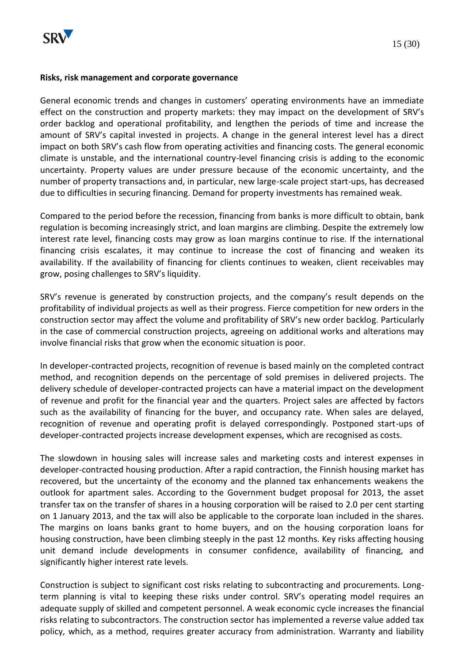

#### **Risks, risk management and corporate governance**

General economic trends and changes in customers' operating environments have an immediate effect on the construction and property markets: they may impact on the development of SRV's order backlog and operational profitability, and lengthen the periods of time and increase the amount of SRV's capital invested in projects. A change in the general interest level has a direct impact on both SRV's cash flow from operating activities and financing costs. The general economic climate is unstable, and the international country-level financing crisis is adding to the economic uncertainty. Property values are under pressure because of the economic uncertainty, and the number of property transactions and, in particular, new large-scale project start-ups, has decreased due to difficulties in securing financing. Demand for property investments has remained weak.

Compared to the period before the recession, financing from banks is more difficult to obtain, bank regulation is becoming increasingly strict, and loan margins are climbing. Despite the extremely low interest rate level, financing costs may grow as loan margins continue to rise. If the international financing crisis escalates, it may continue to increase the cost of financing and weaken its availability. If the availability of financing for clients continues to weaken, client receivables may grow, posing challenges to SRV's liquidity.

SRV's revenue is generated by construction projects, and the company's result depends on the profitability of individual projects as well as their progress. Fierce competition for new orders in the construction sector may affect the volume and profitability of SRV's new order backlog. Particularly in the case of commercial construction projects, agreeing on additional works and alterations may involve financial risks that grow when the economic situation is poor.

In developer-contracted projects, recognition of revenue is based mainly on the completed contract method, and recognition depends on the percentage of sold premises in delivered projects. The delivery schedule of developer-contracted projects can have a material impact on the development of revenue and profit for the financial year and the quarters. Project sales are affected by factors such as the availability of financing for the buyer, and occupancy rate. When sales are delayed, recognition of revenue and operating profit is delayed correspondingly. Postponed start-ups of developer-contracted projects increase development expenses, which are recognised as costs.

The slowdown in housing sales will increase sales and marketing costs and interest expenses in developer-contracted housing production. After a rapid contraction, the Finnish housing market has recovered, but the uncertainty of the economy and the planned tax enhancements weakens the outlook for apartment sales. According to the Government budget proposal for 2013, the asset transfer tax on the transfer of shares in a housing corporation will be raised to 2.0 per cent starting on 1 January 2013, and the tax will also be applicable to the corporate loan included in the shares. The margins on loans banks grant to home buyers, and on the housing corporation loans for housing construction, have been climbing steeply in the past 12 months. Key risks affecting housing unit demand include developments in consumer confidence, availability of financing, and significantly higher interest rate levels.

Construction is subject to significant cost risks relating to subcontracting and procurements. Longterm planning is vital to keeping these risks under control. SRV's operating model requires an adequate supply of skilled and competent personnel. A weak economic cycle increases the financial risks relating to subcontractors. The construction sector has implemented a reverse value added tax policy, which, as a method, requires greater accuracy from administration. Warranty and liability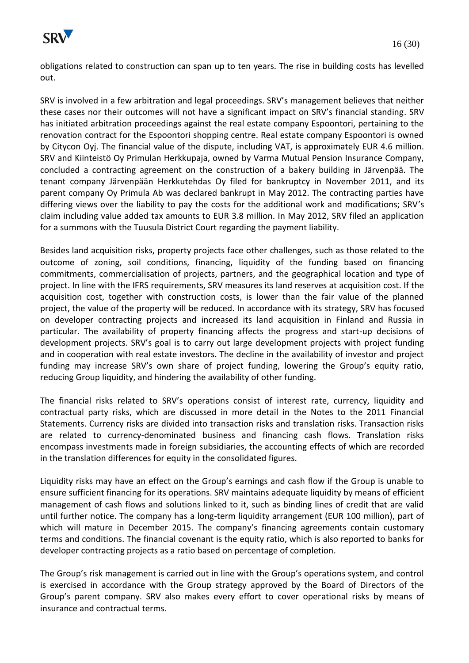

obligations related to construction can span up to ten years. The rise in building costs has levelled out.

SRV is involved in a few arbitration and legal proceedings. SRV's management believes that neither these cases nor their outcomes will not have a significant impact on SRV's financial standing. SRV has initiated arbitration proceedings against the real estate company Espoontori, pertaining to the renovation contract for the Espoontori shopping centre. Real estate company Espoontori is owned by Citycon Oyj. The financial value of the dispute, including VAT, is approximately EUR 4.6 million. SRV and Kiinteistö Oy Primulan Herkkupaja, owned by Varma Mutual Pension Insurance Company, concluded a contracting agreement on the construction of a bakery building in Järvenpää. The tenant company Järvenpään Herkkutehdas Oy filed for bankruptcy in November 2011, and its parent company Oy Primula Ab was declared bankrupt in May 2012. The contracting parties have differing views over the liability to pay the costs for the additional work and modifications; SRV's claim including value added tax amounts to EUR 3.8 million. In May 2012, SRV filed an application for a summons with the Tuusula District Court regarding the payment liability.

Besides land acquisition risks, property projects face other challenges, such as those related to the outcome of zoning, soil conditions, financing, liquidity of the funding based on financing commitments, commercialisation of projects, partners, and the geographical location and type of project. In line with the IFRS requirements, SRV measures its land reserves at acquisition cost. If the acquisition cost, together with construction costs, is lower than the fair value of the planned project, the value of the property will be reduced. In accordance with its strategy, SRV has focused on developer contracting projects and increased its land acquisition in Finland and Russia in particular. The availability of property financing affects the progress and start-up decisions of development projects. SRV's goal is to carry out large development projects with project funding and in cooperation with real estate investors. The decline in the availability of investor and project funding may increase SRV's own share of project funding, lowering the Group's equity ratio, reducing Group liquidity, and hindering the availability of other funding.

The financial risks related to SRV's operations consist of interest rate, currency, liquidity and contractual party risks, which are discussed in more detail in the Notes to the 2011 Financial Statements. Currency risks are divided into transaction risks and translation risks. Transaction risks are related to currency-denominated business and financing cash flows. Translation risks encompass investments made in foreign subsidiaries, the accounting effects of which are recorded in the translation differences for equity in the consolidated figures.

Liquidity risks may have an effect on the Group's earnings and cash flow if the Group is unable to ensure sufficient financing for its operations. SRV maintains adequate liquidity by means of efficient management of cash flows and solutions linked to it, such as binding lines of credit that are valid until further notice. The company has a long-term liquidity arrangement (EUR 100 million), part of which will mature in December 2015. The company's financing agreements contain customary terms and conditions. The financial covenant is the equity ratio, which is also reported to banks for developer contracting projects as a ratio based on percentage of completion.

The Group's risk management is carried out in line with the Group's operations system, and control is exercised in accordance with the Group strategy approved by the Board of Directors of the Group's parent company. SRV also makes every effort to cover operational risks by means of insurance and contractual terms.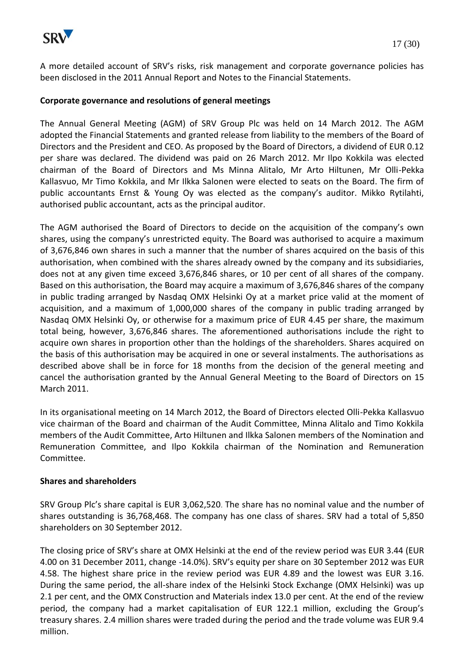

A more detailed account of SRV's risks, risk management and corporate governance policies has been disclosed in the 2011 Annual Report and Notes to the Financial Statements.

#### **Corporate governance and resolutions of general meetings**

The Annual General Meeting (AGM) of SRV Group Plc was held on 14 March 2012. The AGM adopted the Financial Statements and granted release from liability to the members of the Board of Directors and the President and CEO. As proposed by the Board of Directors, a dividend of EUR 0.12 per share was declared. The dividend was paid on 26 March 2012. Mr Ilpo Kokkila was elected chairman of the Board of Directors and Ms Minna Alitalo, Mr Arto Hiltunen, Mr Olli-Pekka Kallasvuo, Mr Timo Kokkila, and Mr Ilkka Salonen were elected to seats on the Board. The firm of public accountants Ernst & Young Oy was elected as the company's auditor. Mikko Rytilahti, authorised public accountant, acts as the principal auditor.

The AGM authorised the Board of Directors to decide on the acquisition of the company's own shares, using the company's unrestricted equity. The Board was authorised to acquire a maximum of 3,676,846 own shares in such a manner that the number of shares acquired on the basis of this authorisation, when combined with the shares already owned by the company and its subsidiaries, does not at any given time exceed 3,676,846 shares, or 10 per cent of all shares of the company. Based on this authorisation, the Board may acquire a maximum of 3,676,846 shares of the company in public trading arranged by Nasdaq OMX Helsinki Oy at a market price valid at the moment of acquisition, and a maximum of 1,000,000 shares of the company in public trading arranged by Nasdaq OMX Helsinki Oy, or otherwise for a maximum price of EUR 4.45 per share, the maximum total being, however, 3,676,846 shares. The aforementioned authorisations include the right to acquire own shares in proportion other than the holdings of the shareholders. Shares acquired on the basis of this authorisation may be acquired in one or several instalments. The authorisations as described above shall be in force for 18 months from the decision of the general meeting and cancel the authorisation granted by the Annual General Meeting to the Board of Directors on 15 March 2011.

In its organisational meeting on 14 March 2012, the Board of Directors elected Olli-Pekka Kallasvuo vice chairman of the Board and chairman of the Audit Committee, Minna Alitalo and Timo Kokkila members of the Audit Committee, Arto Hiltunen and Ilkka Salonen members of the Nomination and Remuneration Committee, and Ilpo Kokkila chairman of the Nomination and Remuneration Committee.

#### **Shares and shareholders**

SRV Group Plc's share capital is EUR 3,062,520. The share has no nominal value and the number of shares outstanding is 36,768,468. The company has one class of shares. SRV had a total of 5,850 shareholders on 30 September 2012.

The closing price of SRV's share at OMX Helsinki at the end of the review period was EUR 3.44 (EUR 4.00 on 31 December 2011, change -14.0%). SRV's equity per share on 30 September 2012 was EUR 4.58. The highest share price in the review period was EUR 4.89 and the lowest was EUR 3.16. During the same period, the all-share index of the Helsinki Stock Exchange (OMX Helsinki) was up 2.1 per cent, and the OMX Construction and Materials index 13.0 per cent. At the end of the review period, the company had a market capitalisation of EUR 122.1 million, excluding the Group's treasury shares. 2.4 million shares were traded during the period and the trade volume was EUR 9.4 million.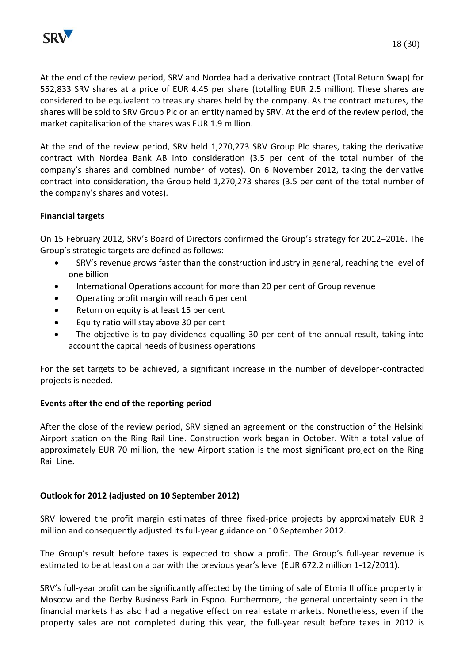

At the end of the review period, SRV and Nordea had a derivative contract (Total Return Swap) for 552,833 SRV shares at a price of EUR 4.45 per share (totalling EUR 2.5 million). These shares are considered to be equivalent to treasury shares held by the company. As the contract matures, the shares will be sold to SRV Group Plc or an entity named by SRV. At the end of the review period, the market capitalisation of the shares was EUR 1.9 million.

At the end of the review period, SRV held 1,270,273 SRV Group Plc shares, taking the derivative contract with Nordea Bank AB into consideration (3.5 per cent of the total number of the company's shares and combined number of votes). On 6 November 2012, taking the derivative contract into consideration, the Group held 1,270,273 shares (3.5 per cent of the total number of the company's shares and votes).

# **Financial targets**

On 15 February 2012, SRV's Board of Directors confirmed the Group's strategy for 2012–2016. The Group's strategic targets are defined as follows:

- SRV's revenue grows faster than the construction industry in general, reaching the level of one billion
- International Operations account for more than 20 per cent of Group revenue
- Operating profit margin will reach 6 per cent
- Return on equity is at least 15 per cent
- Equity ratio will stay above 30 per cent
- The objective is to pay dividends equalling 30 per cent of the annual result, taking into account the capital needs of business operations

For the set targets to be achieved, a significant increase in the number of developer-contracted projects is needed.

# **Events after the end of the reporting period**

After the close of the review period, SRV signed an agreement on the construction of the Helsinki Airport station on the Ring Rail Line. Construction work began in October. With a total value of approximately EUR 70 million, the new Airport station is the most significant project on the Ring Rail Line.

# **Outlook for 2012 (adjusted on 10 September 2012)**

SRV lowered the profit margin estimates of three fixed-price projects by approximately EUR 3 million and consequently adjusted its full-year guidance on 10 September 2012.

The Group's result before taxes is expected to show a profit. The Group's full-year revenue is estimated to be at least on a par with the previous year's level (EUR 672.2 million 1-12/2011).

SRV's full-year profit can be significantly affected by the timing of sale of Etmia II office property in Moscow and the Derby Business Park in Espoo. Furthermore, the general uncertainty seen in the financial markets has also had a negative effect on real estate markets. Nonetheless, even if the property sales are not completed during this year, the full-year result before taxes in 2012 is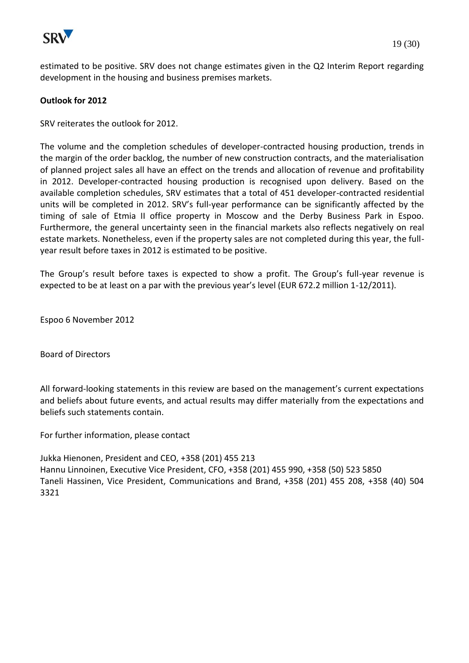

estimated to be positive. SRV does not change estimates given in the Q2 Interim Report regarding development in the housing and business premises markets.

#### **Outlook for 2012**

SRV reiterates the outlook for 2012.

The volume and the completion schedules of developer-contracted housing production, trends in the margin of the order backlog, the number of new construction contracts, and the materialisation of planned project sales all have an effect on the trends and allocation of revenue and profitability in 2012. Developer-contracted housing production is recognised upon delivery. Based on the available completion schedules, SRV estimates that a total of 451 developer-contracted residential units will be completed in 2012. SRV's full-year performance can be significantly affected by the timing of sale of Etmia II office property in Moscow and the Derby Business Park in Espoo. Furthermore, the general uncertainty seen in the financial markets also reflects negatively on real estate markets. Nonetheless, even if the property sales are not completed during this year, the fullyear result before taxes in 2012 is estimated to be positive.

The Group's result before taxes is expected to show a profit. The Group's full-year revenue is expected to be at least on a par with the previous year's level (EUR 672.2 million 1-12/2011).

Espoo 6 November 2012

Board of Directors

All forward-looking statements in this review are based on the management's current expectations and beliefs about future events, and actual results may differ materially from the expectations and beliefs such statements contain.

For further information, please contact

Jukka Hienonen, President and CEO, +358 (201) 455 213 Hannu Linnoinen, Executive Vice President, CFO, +358 (201) 455 990, +358 (50) 523 5850 Taneli Hassinen, Vice President, Communications and Brand, +358 (201) 455 208, +358 (40) 504 3321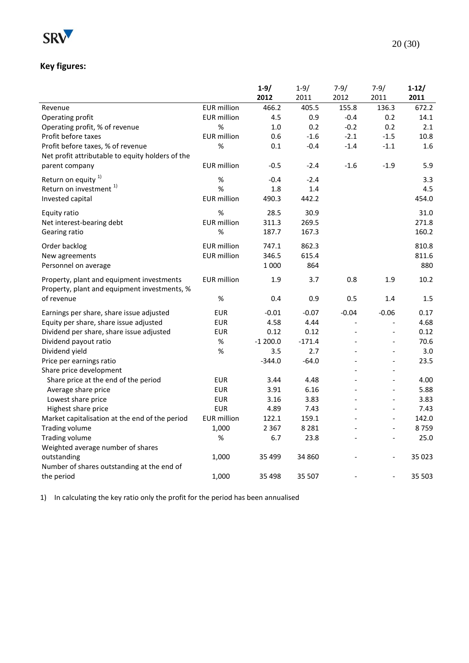

# **Key figures:**

|                                                                                           |                    | $1 - 9/$  | $1 - 9/$ | $7 - 9/$                 | $7 - 9/$                 | $1-12/$ |
|-------------------------------------------------------------------------------------------|--------------------|-----------|----------|--------------------------|--------------------------|---------|
|                                                                                           |                    | 2012      | 2011     | 2012                     | 2011                     | 2011    |
| Revenue                                                                                   | <b>EUR</b> million | 466.2     | 405.5    | 155.8                    | 136.3                    | 672.2   |
| Operating profit                                                                          | <b>EUR</b> million | 4.5       | 0.9      | $-0.4$                   | 0.2                      | 14.1    |
| Operating profit, % of revenue                                                            | $\%$               | 1.0       | 0.2      | $-0.2$                   | 0.2                      | 2.1     |
| Profit before taxes                                                                       | <b>EUR</b> million | 0.6       | $-1.6$   | $-2.1$                   | $-1.5$                   | 10.8    |
| Profit before taxes, % of revenue                                                         | %                  | 0.1       | $-0.4$   | $-1.4$                   | $-1.1$                   | 1.6     |
| Net profit attributable to equity holders of the                                          |                    |           |          |                          |                          |         |
| parent company                                                                            | <b>EUR</b> million | $-0.5$    | $-2.4$   | $-1.6$                   | $-1.9$                   | 5.9     |
| Return on equity <sup>1)</sup>                                                            | %                  | $-0.4$    | $-2.4$   |                          |                          | 3.3     |
| Return on investment <sup>1)</sup>                                                        | %                  | 1.8       | 1.4      |                          |                          | 4.5     |
| Invested capital                                                                          | <b>EUR</b> million | 490.3     | 442.2    |                          |                          | 454.0   |
| Equity ratio                                                                              | %                  | 28.5      | 30.9     |                          |                          | 31.0    |
| Net interest-bearing debt                                                                 | <b>EUR</b> million | 311.3     | 269.5    |                          |                          | 271.8   |
| Gearing ratio                                                                             | $\%$               | 187.7     | 167.3    |                          |                          | 160.2   |
| Order backlog                                                                             | <b>EUR</b> million | 747.1     | 862.3    |                          |                          | 810.8   |
| New agreements                                                                            | <b>EUR</b> million | 346.5     | 615.4    |                          |                          | 811.6   |
| Personnel on average                                                                      |                    | 1 0 0 0   | 864      |                          |                          | 880     |
|                                                                                           | <b>EUR</b> million | 1.9       | 3.7      | 0.8                      | 1.9                      | 10.2    |
| Property, plant and equipment investments<br>Property, plant and equipment investments, % |                    |           |          |                          |                          |         |
| of revenue                                                                                | %                  | 0.4       | 0.9      | 0.5                      | 1.4                      | 1.5     |
|                                                                                           |                    |           |          |                          |                          |         |
| Earnings per share, share issue adjusted                                                  | <b>EUR</b>         | $-0.01$   | $-0.07$  | $-0.04$                  | $-0.06$                  | 0.17    |
| Equity per share, share issue adjusted                                                    | <b>EUR</b>         | 4.58      | 4.44     |                          | $\overline{a}$           | 4.68    |
| Dividend per share, share issue adjusted                                                  | <b>EUR</b>         | 0.12      | 0.12     | $\overline{\phantom{a}}$ | $\overline{\phantom{a}}$ | 0.12    |
| Dividend payout ratio                                                                     | %                  | $-1200.0$ | $-171.4$ |                          | $\overline{\phantom{a}}$ | 70.6    |
| Dividend yield                                                                            | %                  | 3.5       | 2.7      |                          | $\Box$                   | 3.0     |
| Price per earnings ratio                                                                  |                    | $-344.0$  | $-64.0$  |                          |                          | 23.5    |
| Share price development                                                                   |                    |           |          |                          | $\overline{a}$           |         |
| Share price at the end of the period                                                      | <b>EUR</b>         | 3.44      | 4.48     | $\overline{a}$           | $\overline{a}$           | 4.00    |
| Average share price                                                                       | <b>EUR</b>         | 3.91      | 6.16     |                          | $\overline{a}$           | 5.88    |
| Lowest share price                                                                        | <b>EUR</b>         | 3.16      | 3.83     |                          | $\overline{a}$           | 3.83    |
| Highest share price                                                                       | <b>EUR</b>         | 4.89      | 7.43     |                          | $\overline{\phantom{a}}$ | 7.43    |
| Market capitalisation at the end of the period                                            | <b>EUR</b> million | 122.1     | 159.1    |                          | $\overline{\phantom{0}}$ | 142.0   |
| <b>Trading volume</b>                                                                     | 1,000              | 2 3 6 7   | 8 2 8 1  |                          | $\overline{\phantom{a}}$ | 8759    |
| Trading volume                                                                            | %                  | 6.7       | 23.8     |                          | $\overline{\phantom{a}}$ | 25.0    |
| Weighted average number of shares                                                         |                    |           |          |                          |                          |         |
| outstanding                                                                               | 1,000              | 35 4 99   | 34 860   |                          |                          | 35 0 23 |
| Number of shares outstanding at the end of                                                |                    |           |          |                          |                          |         |
| the period                                                                                | 1,000              | 35 4 98   | 35 507   |                          | $\overline{\phantom{a}}$ | 35 503  |

1) In calculating the key ratio only the profit for the period has been annualised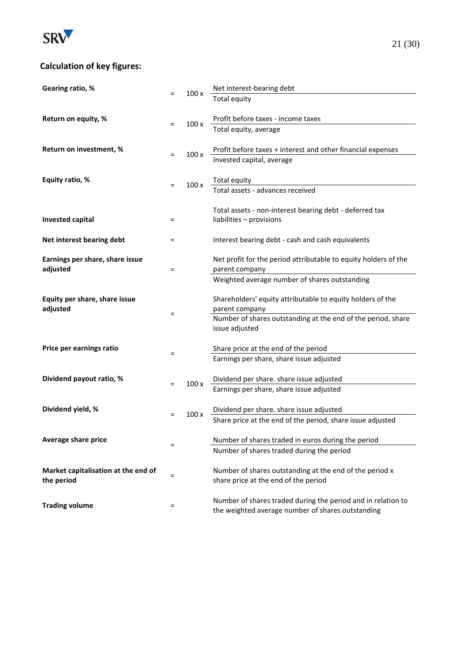

# **Calculation of key figures:**

| Gearing ratio, %                    |     | 100x | Net interest-bearing debt                                                                                         |
|-------------------------------------|-----|------|-------------------------------------------------------------------------------------------------------------------|
|                                     | $=$ |      | <b>Total equity</b>                                                                                               |
|                                     |     |      |                                                                                                                   |
| Return on equity, %                 | $=$ | 100x | Profit before taxes - income taxes                                                                                |
|                                     |     |      | Total equity, average                                                                                             |
|                                     |     |      |                                                                                                                   |
| Return on investment, %             | $=$ | 100x | Profit before taxes + interest and other financial expenses                                                       |
|                                     |     |      | Invested capital, average                                                                                         |
|                                     |     |      |                                                                                                                   |
| Equity ratio, %                     | $=$ | 100x | Total equity                                                                                                      |
|                                     |     |      | Total assets - advances received                                                                                  |
|                                     |     |      | Total assets - non-interest bearing debt - deferred tax                                                           |
| <b>Invested capital</b>             | =   |      | liabilities - provisions                                                                                          |
|                                     |     |      |                                                                                                                   |
| Net interest bearing debt           | $=$ |      | Interest bearing debt - cash and cash equivalents                                                                 |
|                                     |     |      |                                                                                                                   |
| Earnings per share, share issue     |     |      | Net profit for the period attributable to equity holders of the                                                   |
| adjusted                            | $=$ |      | parent company                                                                                                    |
|                                     |     |      | Weighted average number of shares outstanding                                                                     |
|                                     |     |      |                                                                                                                   |
| Equity per share, share issue       |     |      | Shareholders' equity attributable to equity holders of the                                                        |
| adjusted                            | $=$ |      | parent company                                                                                                    |
|                                     |     |      | Number of shares outstanding at the end of the period, share                                                      |
|                                     |     |      | issue adjusted                                                                                                    |
| Price per earnings ratio            |     |      | Share price at the end of the period                                                                              |
|                                     | Ξ   |      | Earnings per share, share issue adjusted                                                                          |
|                                     |     |      |                                                                                                                   |
| Dividend payout ratio, %            |     |      | Dividend per share. share issue adjusted                                                                          |
|                                     | $=$ | 100x | Earnings per share, share issue adjusted                                                                          |
|                                     |     |      |                                                                                                                   |
| Dividend yield, %                   |     |      | Dividend per share. share issue adjusted                                                                          |
|                                     | $=$ | 100x | Share price at the end of the period, share issue adjusted                                                        |
|                                     |     |      |                                                                                                                   |
| Average share price                 | $=$ |      | Number of shares traded in euros during the period                                                                |
|                                     |     |      | Number of shares traded during the period                                                                         |
|                                     |     |      |                                                                                                                   |
| Market capitalisation at the end of | $=$ |      | Number of shares outstanding at the end of the period x                                                           |
| the period                          |     |      | share price at the end of the period                                                                              |
|                                     |     |      |                                                                                                                   |
| <b>Trading volume</b>               | =   |      | Number of shares traded during the period and in relation to<br>the weighted average number of shares outstanding |
|                                     |     |      |                                                                                                                   |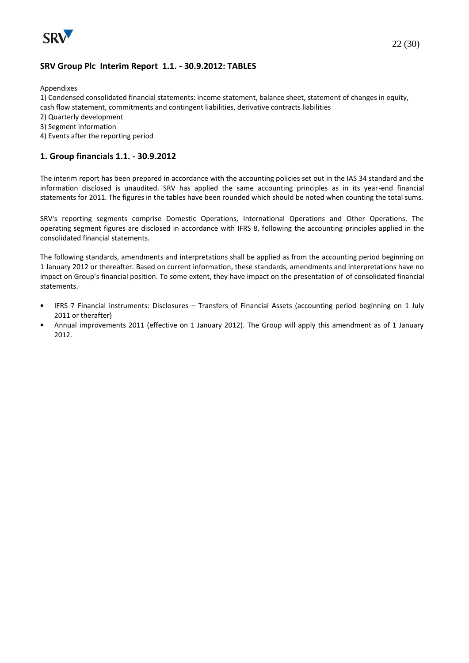

#### **SRV Group Plc Interim Report 1.1. - 30.9.2012: TABLES**

Appendixes

1) Condensed consolidated financial statements: income statement, balance sheet, statement of changes in equity, cash flow statement, commitments and contingent liabilities, derivative contracts liabilities

- 2) Quarterly development
- 3) Segment information
- 4) Events after the reporting period

#### **1. Group financials 1.1. - 30.9.2012**

The interim report has been prepared in accordance with the accounting policies set out in the IAS 34 standard and the information disclosed is unaudited. SRV has applied the same accounting principles as in its year-end financial statements for 2011. The figures in the tables have been rounded which should be noted when counting the total sums.

SRV's reporting segments comprise Domestic Operations, International Operations and Other Operations. The operating segment figures are disclosed in accordance with IFRS 8, following the accounting principles applied in the consolidated financial statements.

The following standards, amendments and interpretations shall be applied as from the accounting period beginning on 1 January 2012 or thereafter. Based on current information, these standards, amendments and interpretations have no impact on Group's financial position. To some extent, they have impact on the presentation of of consolidated financial statements.

- IFRS 7 Financial instruments: Disclosures Transfers of Financial Assets (accounting period beginning on 1 July 2011 or therafter)
- Annual improvements 2011 (effective on 1 January 2012). The Group will apply this amendment as of 1 January 2012.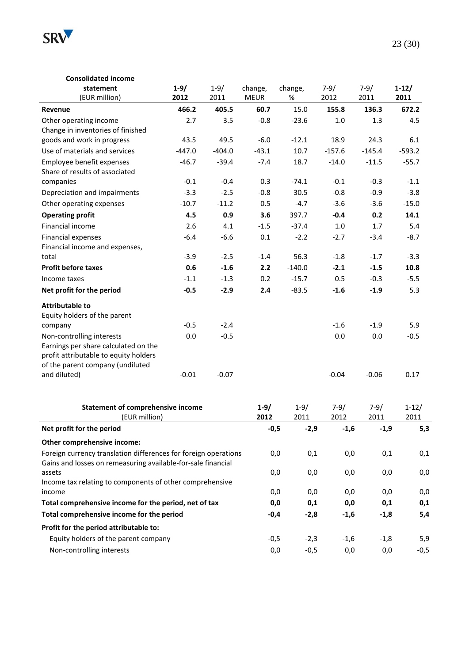

#### **Consolidated income statement** (EUR million) **1-9/ 2012** 1-9/ 2011 change, MEUR change, % 7-9/ 2012 7-9/ 2011 **1-12/ 2011 Revenue 466.2 405.5 60.7** 15.0 **155.8 136.3 672.2** Other operating income 2.7 3.5 -0.8 -23.6 1.0 1.3 4.5 Change in inventories of finished goods and work in progress 43.5 49.5 -6.0 -12.1 18.9 24.3 6.1 Use of materials and services -447.0 -404.0 -43.1 10.7 -157.6 -145.4 -593.2 Employee benefit expenses  $-46.7$   $-39.4$   $-7.4$   $18.7$   $-14.0$   $-11.5$   $-55.7$ Share of results of associated companies -0.1 -0.4 0.3 -74.1 -0.1 -0.3 -1.1 Depreciation and impairments -3.3 -2.5 -0.8 30.5 -0.8 -0.9 -3.8 Other operating expenses  $-10.7$   $-11.2$  0.5  $-4.7$   $-3.6$   $-3.6$   $-15.0$ **Operating profit 4.5 0.9 3.6** 397.7 **-0.4 0.2 14.1** Financial income 2.6 4.1 -1.5 -37.4 1.0 1.7 5.4 Financial expenses -6.4 -6.6 0.1 -2.2 -2.7 -3.4 -8.7 Financial income and expenses, total -3.9 -2.5 -1.4 56.3 -1.8 -1.7 -3.3 **Profit before taxes 0.6 -1.6 2.2** -140.0 **-2.1 -1.5 10.8** Income taxes -1.1 -1.3 0.2 -15.7 0.5 -0.3 -5.5 **Net profit for the period -0.5 -2.9 2.4** -83.5 **-1.6 -1.9** 5.3 **Attributable to** Equity holders of the parent company -0.5 -2.4 -1.6 -1.9 5.9 Non-controlling interests 0.0 -0.5 0.0 0.0 -0.5 Earnings per share calculated on the profit attributable to equity holders of the parent company (undiluted and diluted) and diluted) and the control of the control of the control of the control of the control of the co **Statement of comprehensive income** (EUR million) **1-9/ 2012** 1-9/ 2011 7-9/ 2012 7-9/ 2011 1-12/ 2011 **Net profit for the period -0,5 -2,9 -1,6 -1,9 5,3 Other comprehensive income:** Foreign currency translation differences for foreign operations  $0.0$   $0.1$   $0.0$   $0.1$   $0.1$   $0.1$ Gains and losses on remeasuring available-for-sale financial assets 0,0 0,0 0,0 0,0 0,0 Income tax relating to components of other comprehensive income 0,0 0,0 0,0 0,0 0,0 **Total comprehensive income for the period, net of tax 0,0 0,1 0,0 0,1 0,1 Total comprehensive income for the period -0,4 -2,8 -1,6 -1,8 5,4 Profit for the period attributable to:** Equity holders of the parent company  $-0.5$   $-2.3$   $-1.6$   $-1.8$   $-5.9$ Non-controlling interests  $0.0$  -0.5 0,0 0,0 -0,5 0,0 0,0 -0,5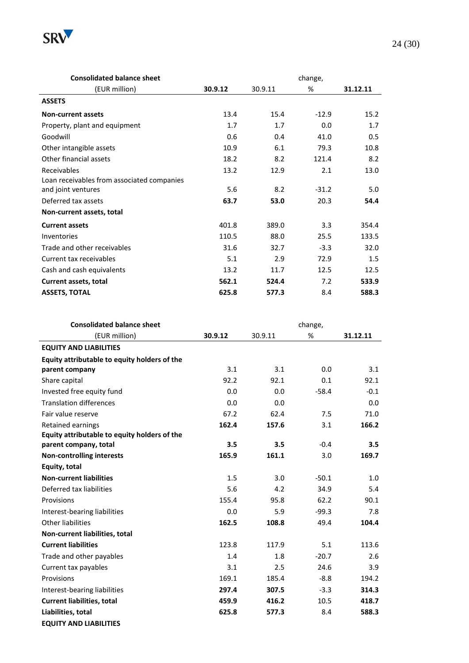

| <b>Consolidated balance sheet</b>          |         |         | change, |          |
|--------------------------------------------|---------|---------|---------|----------|
| (EUR million)                              | 30.9.12 | 30.9.11 | %       | 31.12.11 |
| <b>ASSETS</b>                              |         |         |         |          |
| <b>Non-current assets</b>                  | 13.4    | 15.4    | $-12.9$ | 15.2     |
| Property, plant and equipment              | 1.7     | 1.7     | 0.0     | 1.7      |
| Goodwill                                   | 0.6     | 0.4     | 41.0    | 0.5      |
| Other intangible assets                    | 10.9    | 6.1     | 79.3    | 10.8     |
| Other financial assets                     | 18.2    | 8.2     | 121.4   | 8.2      |
| Receivables                                | 13.2    | 12.9    | 2.1     | 13.0     |
| Loan receivables from associated companies |         |         |         |          |
| and joint ventures                         | 5.6     | 8.2     | $-31.2$ | 5.0      |
| Deferred tax assets                        | 63.7    | 53.0    | 20.3    | 54.4     |
| Non-current assets, total                  |         |         |         |          |
| <b>Current assets</b>                      | 401.8   | 389.0   | 3.3     | 354.4    |
| Inventories                                | 110.5   | 88.0    | 25.5    | 133.5    |
| Trade and other receivables                | 31.6    | 32.7    | $-3.3$  | 32.0     |
| Current tax receivables                    | 5.1     | 2.9     | 72.9    | 1.5      |
| Cash and cash equivalents                  | 13.2    | 11.7    | 12.5    | 12.5     |
| Current assets, total                      | 562.1   | 524.4   | 7.2     | 533.9    |
| <b>ASSETS, TOTAL</b>                       | 625.8   | 577.3   | 8.4     | 588.3    |

| <b>Consolidated balance sheet</b>            |         |         | change, |          |
|----------------------------------------------|---------|---------|---------|----------|
| (EUR million)                                | 30.9.12 | 30.9.11 | $\%$    | 31.12.11 |
| <b>EQUITY AND LIABILITIES</b>                |         |         |         |          |
| Equity attributable to equity holders of the |         |         |         |          |
| parent company                               | 3.1     | 3.1     | 0.0     | 3.1      |
| Share capital                                | 92.2    | 92.1    | 0.1     | 92.1     |
| Invested free equity fund                    | 0.0     | 0.0     | $-58.4$ | $-0.1$   |
| <b>Translation differences</b>               | 0.0     | 0.0     |         | 0.0      |
| Fair value reserve                           | 67.2    | 62.4    | 7.5     | 71.0     |
| <b>Retained earnings</b>                     | 162.4   | 157.6   | 3.1     | 166.2    |
| Equity attributable to equity holders of the |         |         |         |          |
| parent company, total                        | 3.5     | 3.5     | $-0.4$  | 3.5      |
| <b>Non-controlling interests</b>             | 165.9   | 161.1   | 3.0     | 169.7    |
| Equity, total                                |         |         |         |          |
| <b>Non-current liabilities</b>               | 1.5     | 3.0     | $-50.1$ | 1.0      |
| Deferred tax liabilities                     | 5.6     | 4.2     | 34.9    | 5.4      |
| Provisions                                   | 155.4   | 95.8    | 62.2    | 90.1     |
| Interest-bearing liabilities                 | 0.0     | 5.9     | $-99.3$ | 7.8      |
| Other liabilities                            | 162.5   | 108.8   | 49.4    | 104.4    |
| Non-current liabilities, total               |         |         |         |          |
| <b>Current liabilities</b>                   | 123.8   | 117.9   | 5.1     | 113.6    |
| Trade and other payables                     | 1.4     | 1.8     | $-20.7$ | 2.6      |
| Current tax payables                         | 3.1     | 2.5     | 24.6    | 3.9      |
| Provisions                                   | 169.1   | 185.4   | $-8.8$  | 194.2    |
| Interest-bearing liabilities                 | 297.4   | 307.5   | $-3.3$  | 314.3    |
| <b>Current liabilities, total</b>            | 459.9   | 416.2   | 10.5    | 418.7    |
| Liabilities, total                           | 625.8   | 577.3   | 8.4     | 588.3    |
| <b>EQUITY AND LIABILITIES</b>                |         |         |         |          |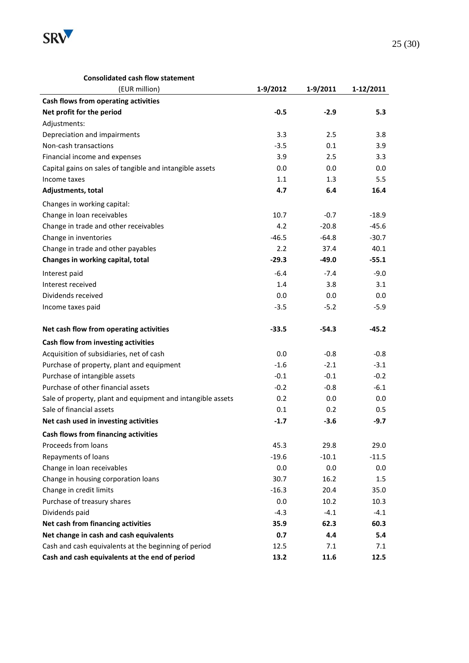

#### **Consolidated cash flow statement**

| (EUR million)                                               | 1-9/2012 | 1-9/2011 | 1-12/2011 |
|-------------------------------------------------------------|----------|----------|-----------|
| Cash flows from operating activities                        |          |          |           |
| Net profit for the period                                   | $-0.5$   | $-2.9$   | 5.3       |
| Adjustments:                                                |          |          |           |
| Depreciation and impairments                                | 3.3      | 2.5      | 3.8       |
| Non-cash transactions                                       | $-3.5$   | 0.1      | 3.9       |
| Financial income and expenses                               | 3.9      | 2.5      | 3.3       |
| Capital gains on sales of tangible and intangible assets    | 0.0      | 0.0      | 0.0       |
| Income taxes                                                | 1.1      | 1.3      | 5.5       |
| Adjustments, total                                          | 4.7      | 6.4      | 16.4      |
| Changes in working capital:                                 |          |          |           |
| Change in loan receivables                                  | 10.7     | $-0.7$   | $-18.9$   |
| Change in trade and other receivables                       | 4.2      | $-20.8$  | $-45.6$   |
| Change in inventories                                       | $-46.5$  | $-64.8$  | $-30.7$   |
| Change in trade and other payables                          | 2.2      | 37.4     | 40.1      |
| Changes in working capital, total                           | $-29.3$  | $-49.0$  | $-55.1$   |
| Interest paid                                               | $-6.4$   | $-7.4$   | $-9.0$    |
| Interest received                                           | 1.4      | 3.8      | 3.1       |
| Dividends received                                          | 0.0      | 0.0      | 0.0       |
| Income taxes paid                                           | $-3.5$   | $-5.2$   | $-5.9$    |
|                                                             |          |          |           |
| Net cash flow from operating activities                     | $-33.5$  | $-54.3$  | $-45.2$   |
| Cash flow from investing activities                         |          |          |           |
| Acquisition of subsidiaries, net of cash                    | 0.0      | $-0.8$   | $-0.8$    |
| Purchase of property, plant and equipment                   | $-1.6$   | $-2.1$   | $-3.1$    |
| Purchase of intangible assets                               | $-0.1$   | $-0.1$   | $-0.2$    |
| Purchase of other financial assets                          | $-0.2$   | $-0.8$   | $-6.1$    |
| Sale of property, plant and equipment and intangible assets | 0.2      | 0.0      | 0.0       |
| Sale of financial assets                                    | 0.1      | 0.2      | 0.5       |
| Net cash used in investing activities                       | $-1.7$   | $-3.6$   | $-9.7$    |
| <b>Cash flows from financing activities</b>                 |          |          |           |
| Proceeds from loans                                         | 45.3     | 29.8     | 29.0      |
| Repayments of loans                                         | $-19.6$  | $-10.1$  | $-11.5$   |
| Change in loan receivables                                  | 0.0      | 0.0      | $0.0\,$   |
| Change in housing corporation loans                         | 30.7     | 16.2     | 1.5       |
| Change in credit limits                                     | $-16.3$  | 20.4     | 35.0      |
| Purchase of treasury shares                                 | 0.0      | 10.2     | 10.3      |
| Dividends paid                                              | $-4.3$   | $-4.1$   | $-4.1$    |
| Net cash from financing activities                          | 35.9     | 62.3     | 60.3      |
| Net change in cash and cash equivalents                     | 0.7      | 4.4      | 5.4       |
| Cash and cash equivalents at the beginning of period        | 12.5     | 7.1      | 7.1       |
| Cash and cash equivalents at the end of period              | 13.2     | 11.6     | 12.5      |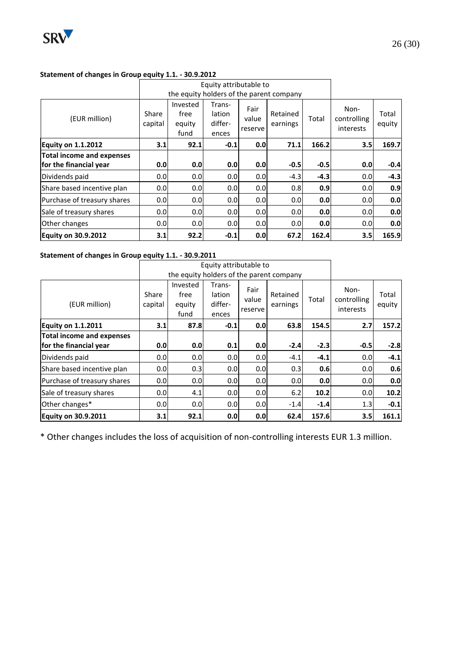

#### **Statement of changes in Group equity 1.1. - 30.9.2012**

|                                                            |                  |                                    | Equity attributable to               |                          |                                          |        |                                  |                 |
|------------------------------------------------------------|------------------|------------------------------------|--------------------------------------|--------------------------|------------------------------------------|--------|----------------------------------|-----------------|
|                                                            |                  |                                    |                                      |                          | the equity holders of the parent company |        |                                  |                 |
| (EUR million)                                              | Share<br>capital | Invested<br>free<br>equity<br>fund | Trans-<br>lation<br>differ-<br>ences | Fair<br>value<br>reserve | Retained<br>earnings                     | Total  | Non-<br>controlling<br>interests | Total<br>equity |
| <b>Equity on 1.1.2012</b>                                  | 3.1              | 92.1                               | $-0.1$                               | 0.0                      | 71.1                                     | 166.2  | 3.5                              | 169.7           |
| <b>Total income and expenses</b><br>for the financial year | 0.0              | 0.0                                | 0.0                                  | 0.0                      | $-0.5$                                   | $-0.5$ | 0.0                              | $-0.4$          |
| Dividends paid                                             | 0.0              | 0.0                                | 0.0                                  | 0.0                      | $-4.3$                                   | $-4.3$ | 0.0                              | $-4.3$          |
| Share based incentive plan                                 | 0.0 <sub>l</sub> | 0.0                                | 0.0                                  | 0.0                      | 0.8                                      | 0.9    | 0.0                              | 0.9             |
| Purchase of treasury shares                                | 0.0              | 0.0                                | 0.0                                  | 0.0                      | 0.0                                      | 0.0    | 0.0                              | 0.0             |
| Sale of treasury shares                                    | 0.0              | 0.0                                | 0.0                                  | 0.0                      | 0.0 <sub>l</sub>                         | 0.0    | 0.0                              | 0.0             |
| Other changes                                              | 0.0 <sub>l</sub> | 0.0 <sub>l</sub>                   | 0.0                                  | 0.0                      | 0.0 <sub>l</sub>                         | 0.0    | 0.0                              | 0.0             |
| <b>Equity on 30.9.2012</b>                                 | 3.1              | 92.2                               | $-0.1$                               | 0.0                      | 67.2                                     | 162.4  | 3.5                              | 165.9           |

#### **Statement of changes in Group equity 1.1. - 30.9.2011**

|                                  |                  | Equity attributable to             |                                      |                          |                                          |        |                                  |                 |
|----------------------------------|------------------|------------------------------------|--------------------------------------|--------------------------|------------------------------------------|--------|----------------------------------|-----------------|
|                                  |                  |                                    |                                      |                          | the equity holders of the parent company |        |                                  |                 |
| (EUR million)                    | Share<br>capital | Invested<br>free<br>equity<br>fund | Trans-<br>lation<br>differ-<br>ences | Fair<br>value<br>reserve | Retained<br>earnings                     | Total  | Non-<br>controlling<br>interests | Total<br>equity |
| <b>Equity on 1.1.2011</b>        | 3.1              | 87.8                               | $-0.1$                               | 0.0                      | 63.8                                     | 154.5  | 2.7                              | 157.2           |
| <b>Total income and expenses</b> |                  |                                    |                                      |                          |                                          |        |                                  |                 |
| for the financial year           | 0.0              | 0.0                                | 0.1                                  | 0.0                      | $-2.4$                                   | $-2.3$ | $-0.5$                           | $-2.8$          |
| Dividends paid                   | 0.0              | 0.0                                | 0.0                                  | 0.0                      | $-4.1$                                   | $-4.1$ | 0.0                              | $-4.1$          |
| Share based incentive plan       | 0.0              | 0.3                                | 0.0                                  | 0.0                      | 0.3                                      | 0.6    | 0.0                              | 0.6             |
| Purchase of treasury shares      | 0.0              | 0.0                                | 0.0                                  | 0.0                      | 0.0 <sub>l</sub>                         | 0.0    | 0.0                              | 0.0             |
| Sale of treasury shares          | 0.0              | 4.1                                | 0.0                                  | 0.0                      | 6.2                                      | 10.2   | 0.0                              | 10.2            |
| Other changes*                   | 0.0              | 0.0                                | 0.0                                  | 0.0                      | $-1.4$                                   | $-1.4$ | 1.3                              | $-0.1$          |
| <b>Equity on 30.9.2011</b>       | 3.1              | 92.1                               | 0.0                                  | 0.0                      | 62.4                                     | 157.6  | 3.5                              | 161.1           |

\* Other changes includes the loss of acquisition of non-controlling interests EUR 1.3 million.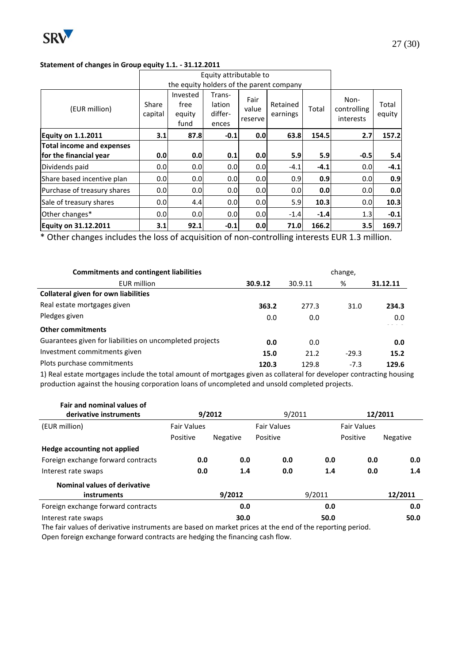

#### **Statement of changes in Group equity 1.1. - 31.12.2011**

|                                  |                  |                                          | Equity attributable to               |                          |                      |        |                                  |                 |
|----------------------------------|------------------|------------------------------------------|--------------------------------------|--------------------------|----------------------|--------|----------------------------------|-----------------|
|                                  |                  | the equity holders of the parent company |                                      |                          |                      |        |                                  |                 |
| (EUR million)                    | Share<br>capital | Invested<br>free<br>equity<br>fund       | Trans-<br>lation<br>differ-<br>ences | Fair<br>value<br>reserve | Retained<br>earnings | Total  | Non-<br>controlling<br>interests | Total<br>equity |
| <b>Equity on 1.1.2011</b>        | 3.1              | 87.8                                     | $-0.1$                               | 0.0                      | 63.8                 | 154.5  | 2.7                              | 157.2           |
| <b>Total income and expenses</b> |                  |                                          |                                      |                          |                      |        |                                  |                 |
| for the financial year           | 0.0              | 0.0                                      | 0.1                                  | 0.0                      | 5.9                  | 5.9    | $-0.5$                           | 5.4             |
| Dividends paid                   | 0.0              | 0.0                                      | 0.0 <sub>l</sub>                     | 0.0                      | $-4.1$               | $-4.1$ | 0.0                              | $-4.1$          |
| Share based incentive plan       | 0.0              | 0.0                                      | 0.0 <sub>l</sub>                     | 0.0                      | 0.9 <sub>l</sub>     | 0.9    | 0.0                              | 0.9             |
| Purchase of treasury shares      | 0.0 <sub>l</sub> | 0.0                                      | 0.0 <sub>l</sub>                     | 0.0                      | 0.0 <sub>l</sub>     | 0.0    | 0.0                              | 0.0             |
| Sale of treasury shares          | 0.0              | 4.4                                      | 0.0 <sub>l</sub>                     | 0.0                      | 5.9                  | 10.3   | 0.0                              | 10.3            |
| Other changes*                   | 0.0              | 0.0 <sub>l</sub>                         | 0.0 <sub>l</sub>                     | 0.0                      | $-1.4$               | $-1.4$ | 1.3                              | $-0.1$          |
| <b>Equity on 31.12.2011</b>      | 3.1              | 92.1                                     | $-0.1$                               | 0.0                      | 71.0                 | 166.2  | 3.5                              | 169.7           |

\* Other changes includes the loss of acquisition of non-controlling interests EUR 1.3 million.

| <b>Commitments and contingent liabilities</b>            |         | change, |         |          |  |  |  |
|----------------------------------------------------------|---------|---------|---------|----------|--|--|--|
| <b>EUR million</b>                                       | 30.9.12 | 30.9.11 | %       | 31.12.11 |  |  |  |
| <b>Collateral given for own liabilities</b>              |         |         |         |          |  |  |  |
| Real estate mortgages given                              | 363.2   | 277.3   | 31.0    | 234.3    |  |  |  |
| Pledges given                                            | 0.0     | 0.0     |         | 0.0      |  |  |  |
| <b>Other commitments</b>                                 |         |         |         |          |  |  |  |
| Guarantees given for liabilities on uncompleted projects | 0.0     | 0.0     |         | 0.0      |  |  |  |
| Investment commitments given                             | 15.0    | 21.2    | $-29.3$ | 15.2     |  |  |  |
| Plots purchase commitments                               | 120.3   | 129.8   | $-7.3$  | 129.6    |  |  |  |

1) Real estate mortgages include the total amount of mortgages given as collateral for developer contracting housing production against the housing corporation loans of uncompleted and unsold completed projects.

| Fair and nominal values of                  |                    |                  |                    |        |                    |                 |  |
|---------------------------------------------|--------------------|------------------|--------------------|--------|--------------------|-----------------|--|
| derivative instruments                      |                    | 9/2011<br>9/2012 |                    |        | 12/2011            |                 |  |
| (EUR million)                               | <b>Fair Values</b> |                  | <b>Fair Values</b> |        | <b>Fair Values</b> |                 |  |
|                                             | Positive           | <b>Negative</b>  | Positive           |        | Positive           | <b>Negative</b> |  |
| Hedge accounting not applied                |                    |                  |                    |        |                    |                 |  |
| Foreign exchange forward contracts          | 0.0                | 0.0              | 0.0                | 0.0    | 0.0                | 0.0             |  |
| Interest rate swaps                         | 0.0                | 1.4              | 0.0                | 1.4    | 0.0                | 1.4             |  |
| Nominal values of derivative<br>instruments |                    | 9/2012           |                    | 9/2011 |                    | 12/2011         |  |
|                                             |                    |                  |                    |        |                    |                 |  |
| Foreign exchange forward contracts          |                    | 0.0              |                    | 0.0    |                    | 0.0             |  |
| Interest rate swaps                         |                    | 30.0             |                    | 50.0   |                    | 50.0            |  |

The fair values of derivative instruments are based on market prices at the end of the reporting period.

Open foreign exchange forward contracts are hedging the financing cash flow.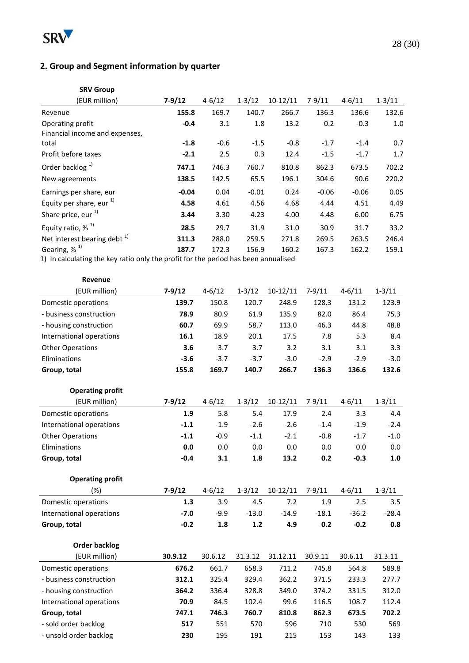

# **2. Group and Segment information by quarter**

| <b>SRV Group</b>                                                                                                                                                                |                         |                      |                         |                      |                         |                         |                      |
|---------------------------------------------------------------------------------------------------------------------------------------------------------------------------------|-------------------------|----------------------|-------------------------|----------------------|-------------------------|-------------------------|----------------------|
| (EUR million)                                                                                                                                                                   | $7 - 9/12$              | $4 - 6/12$           | $1 - 3/12$              | $10-12/11$           | $7 - 9/11$              | $4 - 6/11$              | $1 - 3/11$           |
| Revenue                                                                                                                                                                         | 155.8                   | 169.7                | 140.7                   | 266.7                | 136.3                   | 136.6                   | 132.6                |
| Operating profit<br>Financial income and expenses,                                                                                                                              | $-0.4$                  | 3.1                  | 1.8                     | 13.2                 | 0.2                     | $-0.3$                  | 1.0                  |
| total                                                                                                                                                                           | $-1.8$                  | $-0.6$               | $-1.5$                  | $-0.8$               | $-1.7$                  | $-1.4$                  | 0.7                  |
| Profit before taxes                                                                                                                                                             | $-2.1$                  | 2.5                  | 0.3                     | 12.4                 | $-1.5$                  | $-1.7$                  | 1.7                  |
| Order backlog $1$ )                                                                                                                                                             | 747.1                   | 746.3                | 760.7                   | 810.8                | 862.3                   | 673.5                   | 702.2                |
| New agreements                                                                                                                                                                  | 138.5                   | 142.5                | 65.5                    | 196.1                | 304.6                   | 90.6                    | 220.2                |
| Earnings per share, eur<br>Equity per share, eur $^{1)}$<br>Share price, eur <sup>1)</sup>                                                                                      | $-0.04$<br>4.58<br>3.44 | 0.04<br>4.61<br>3.30 | $-0.01$<br>4.56<br>4.23 | 0.24<br>4.68<br>4.00 | $-0.06$<br>4.44<br>4.48 | $-0.06$<br>4.51<br>6.00 | 0.05<br>4.49<br>6.75 |
| Equity ratio, $%$ <sup>1)</sup>                                                                                                                                                 | 28.5                    | 29.7                 | 31.9                    | 31.0                 | 30.9                    | 31.7                    | 33.2                 |
| Net interest bearing debt $1$ )                                                                                                                                                 | 311.3                   | 288.0                | 259.5                   | 271.8                | 269.5                   | 263.5                   | 246.4                |
| Gearing, $%$ <sup>1)</sup><br>162.2<br>187.7<br>172.3<br>156.9<br>160.2<br>167.3<br>159.1<br>1) In calculating the key ratio only the profit for the period has been annualised |                         |                      |                         |                      |                         |                         |                      |
| Revenue                                                                                                                                                                         |                         |                      |                         |                      |                         |                         |                      |

| (EUR million)            | $7 - 9/12$ | $4 - 6/12$ | $1 - 3/12$ | $10-12/11$ | $7 - 9/11$ | $4 - 6/11$ | $1 - 3/11$ |
|--------------------------|------------|------------|------------|------------|------------|------------|------------|
| Domestic operations      | 139.7      | 150.8      | 120.7      | 248.9      | 128.3      | 131.2      | 123.9      |
| - business construction  | 78.9       | 80.9       | 61.9       | 135.9      | 82.0       | 86.4       | 75.3       |
| - housing construction   | 60.7       | 69.9       | 58.7       | 113.0      | 46.3       | 44.8       | 48.8       |
| International operations | 16.1       | 18.9       | 20.1       | 17.5       | 7.8        | 5.3        | 8.4        |
| <b>Other Operations</b>  | 3.6        | 3.7        | 3.7        | 3.2        | 3.1        | 3.1        | 3.3        |
| Eliminations             | $-3.6$     | $-3.7$     | $-3.7$     | $-3.0$     | $-2.9$     | $-2.9$     | $-3.0$     |
| Group, total             | 155.8      | 169.7      | 140.7      | 266.7      | 136.3      | 136.6      | 132.6      |

| <b>Operating profit</b>  |          |            |            |            |            |            |            |
|--------------------------|----------|------------|------------|------------|------------|------------|------------|
| (EUR million)            | $7-9/12$ | $4 - 6/12$ | $1 - 3/12$ | $10-12/11$ | $7-9/11$   | $4 - 6/11$ | $1 - 3/11$ |
| Domestic operations      | 1.9      | 5.8        | 5.4        | 17.9       | 2.4        | 3.3        | 4.4        |
| International operations | $-1.1$   | $-1.9$     | $-2.6$     | $-2.6$     | $-1.4$     | $-1.9$     | $-2.4$     |
| <b>Other Operations</b>  | $-1.1$   | $-0.9$     | $-1.1$     | $-2.1$     | $-0.8$     | $-1.7$     | $-1.0$     |
| Eliminations             | 0.0      | 0.0        | 0.0        | 0.0        | 0.0        | 0.0        | 0.0        |
| Group, total             | $-0.4$   | 3.1        | 1.8        | 13.2       | 0.2        | $-0.3$     | 1.0        |
| <b>Operating profit</b>  |          |            |            |            |            |            |            |
| $(\%)$                   | $7-9/12$ | $4 - 6/12$ | $1 - 3/12$ | $10-12/11$ | $7 - 9/11$ | $4 - 6/11$ | $1 - 3/11$ |
| Domestic operations      | 1.3      | 3.9        | 4.5        | 7.2        | 1.9        | 2.5        | 3.5        |
| International operations | $-7.0$   | $-9.9$     | $-13.0$    | $-14.9$    | $-18.1$    | $-36.2$    | $-28.4$    |
| Group, total             | $-0.2$   | 1.8        | 1.2        | 4.9        | 0.2        | $-0.2$     | 0.8        |
| <b>Order backlog</b>     |          |            |            |            |            |            |            |
| (EUR million)            | 30.9.12  | 30.6.12    | 31.3.12    | 31.12.11   | 30.9.11    | 30.6.11    | 31.3.11    |
| Domestic operations      | 676.2    | 661.7      | 658.3      | 711.2      | 745.8      | 564.8      | 589.8      |
| - business construction  | 312.1    | 325.4      | 329.4      | 362.2      | 371.5      | 233.3      | 277.7      |
| - housing construction   | 364.2    | 336.4      | 328.8      | 349.0      | 374.2      | 331.5      | 312.0      |
| International operations | 70.9     | 84.5       | 102.4      | 99.6       | 116.5      | 108.7      | 112.4      |
| Group, total             | 747.1    | 746.3      | 760.7      | 810.8      | 862.3      | 673.5      | 702.2      |
| - sold order backlog     | 517      | 551        | 570        | 596        | 710        | 530        | 569        |

- unsold order backlog **230** 195 191 215 153 143 133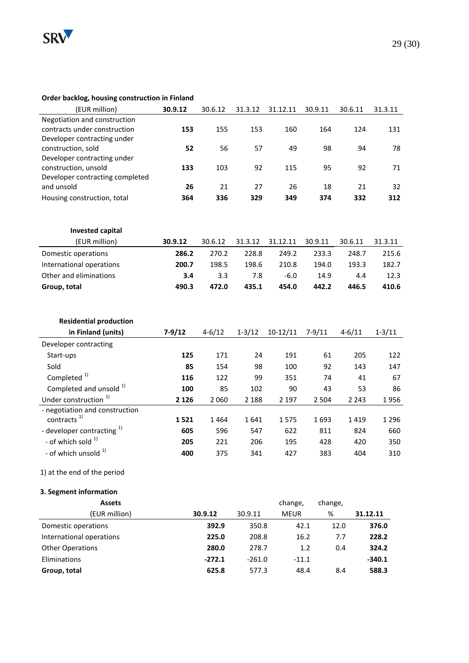

#### **Order backlog, housing construction in Finland**

| (EUR million)                         | 30.9.12    | 30.6.12    | 31.3.12    | 31.12.11    | 30.9.11    | 30.6.11    | 31.3.11    |
|---------------------------------------|------------|------------|------------|-------------|------------|------------|------------|
| Negotiation and construction          |            |            |            |             |            |            |            |
| contracts under construction          | 153        | 155        | 153        | 160         | 164        | 124        | 131        |
| Developer contracting under           |            |            |            |             |            |            |            |
| construction, sold                    | 52         | 56         | 57         | 49          | 98         | 94         | 78         |
| Developer contracting under           |            |            |            |             |            |            |            |
| construction, unsold                  | 133        | 103        | 92         | 115         | 95         | 92         | 71         |
| Developer contracting completed       |            |            |            |             |            |            |            |
| and unsold                            | 26         | 21         | 27         | 26          | 18         | 21         | 32         |
| Housing construction, total           | 364        | 336        | 329        | 349         | 374        | 332        | 312        |
|                                       |            |            |            |             |            |            |            |
|                                       |            |            |            |             |            |            |            |
| <b>Invested capital</b>               |            |            |            |             |            |            |            |
| (EUR million)                         | 30.9.12    | 30.6.12    | 31.3.12    | 31.12.11    | 30.9.11    | 30.6.11    | 31.3.11    |
| Domestic operations                   | 286.2      | 270.2      | 228.8      | 249.2       | 233.3      | 248.7      | 215.6      |
| International operations              | 200.7      | 198.5      | 198.6      | 210.8       | 194.0      | 193.3      | 182.7      |
| Other and eliminations                | 3.4        | 3.3        | 7.8        | $-6.0$      | 14.9       | 4.4        | 12.3       |
| Group, total                          | 490.3      | 472.0      | 435.1      | 454.0       | 442.2      | 446.5      | 410.6      |
|                                       |            |            |            |             |            |            |            |
|                                       |            |            |            |             |            |            |            |
| <b>Residential production</b>         |            |            |            |             |            |            |            |
| in Finland (units)                    | $7 - 9/12$ | $4 - 6/12$ | $1 - 3/12$ | $10-12/11$  | $7 - 9/11$ | $4 - 6/11$ | $1 - 3/11$ |
| Developer contracting                 |            |            |            |             |            |            |            |
| Start-ups                             | 125        | 171        | 24         | 191         | 61         | 205        | 122        |
| Sold                                  | 85         | 154        | 98         | 100         | 92         | 143        | 147        |
| Completed <sup>1)</sup>               | 116        | 122        | 99         | 351         | 74         | 41         | 67         |
| Completed and unsold <sup>1)</sup>    | 100        | 85         | 102        | 90          | 43         | 53         | 86         |
| Under construction <sup>1)</sup>      | 2 1 2 6    | 2060       | 2 1 8 8    | 2 1 9 7     | 2 5 0 4    | 2 2 4 3    | 1956       |
| - negotiation and construction        |            |            |            |             |            |            |            |
| contracts <sup>1)</sup>               | 1521       | 1464       | 1641       | 1575        | 1693       | 1419       | 1 2 9 6    |
| - developer contracting <sup>1)</sup> | 605        | 596        | 547        | 622         | 811        | 824        | 660        |
| - of which sold 1)                    | 205        | 221        | 206        | 195         | 428        | 420        | 350        |
| - of which unsold <sup>1)</sup>       | 400        | 375        | 341        | 427         | 383        | 404        | 310        |
|                                       |            |            |            |             |            |            |            |
| 1) at the end of the period           |            |            |            |             |            |            |            |
| 3. Segment information                |            |            |            |             |            |            |            |
| <b>Assets</b>                         |            |            |            | change,     | change,    |            |            |
| (EUR million)                         |            | 30.9.12    | 30.9.11    | <b>MEUR</b> | %          |            | 31.12.11   |
| Domestic operations                   |            | 392.9      | 350.8      |             | 42.1       | 12.0       | 376.0      |
| International operations              |            | 225.0      | 208.8      |             | 16.2       | 7.7        | 228.2      |
| <b>Other Operations</b>               |            | 280.0      | 278.7      |             | 1.2        | 0.4        | 324.2      |
| Eliminations                          |            | $-272.1$   | $-261.0$   |             | $-11.1$    |            | $-340.1$   |
| Group, total                          |            | 625.8      | 577.3      |             | 48.4       | 8.4        | 588.3      |